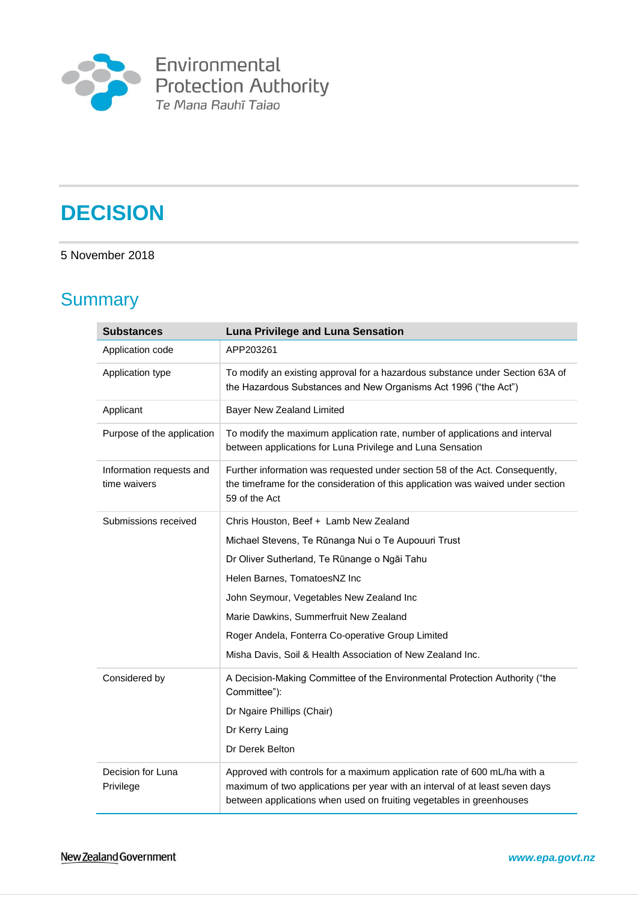

# **DECISION**

#### 5 November 2018

# **Summary**

| <b>Substances</b>                        | <b>Luna Privilege and Luna Sensation</b>                                                                                                                                                                                          |
|------------------------------------------|-----------------------------------------------------------------------------------------------------------------------------------------------------------------------------------------------------------------------------------|
| Application code                         | APP203261                                                                                                                                                                                                                         |
| Application type                         | To modify an existing approval for a hazardous substance under Section 63A of<br>the Hazardous Substances and New Organisms Act 1996 ("the Act")                                                                                  |
| Applicant                                | Bayer New Zealand Limited                                                                                                                                                                                                         |
| Purpose of the application               | To modify the maximum application rate, number of applications and interval<br>between applications for Luna Privilege and Luna Sensation                                                                                         |
| Information requests and<br>time waivers | Further information was requested under section 58 of the Act. Consequently,<br>the timeframe for the consideration of this application was waived under section<br>59 of the Act                                                 |
| Submissions received                     | Chris Houston, Beef + Lamb New Zealand                                                                                                                                                                                            |
|                                          | Michael Stevens, Te Rūnanga Nui o Te Aupouuri Trust                                                                                                                                                                               |
|                                          | Dr Oliver Sutherland, Te Rūnange o Ngāi Tahu                                                                                                                                                                                      |
|                                          | Helen Barnes, TomatoesNZ Inc                                                                                                                                                                                                      |
|                                          | John Seymour, Vegetables New Zealand Inc                                                                                                                                                                                          |
|                                          | Marie Dawkins, Summerfruit New Zealand                                                                                                                                                                                            |
|                                          | Roger Andela, Fonterra Co-operative Group Limited                                                                                                                                                                                 |
|                                          | Misha Davis, Soil & Health Association of New Zealand Inc.                                                                                                                                                                        |
| Considered by                            | A Decision-Making Committee of the Environmental Protection Authority ("the<br>Committee"):                                                                                                                                       |
|                                          | Dr Ngaire Phillips (Chair)                                                                                                                                                                                                        |
|                                          | Dr Kerry Laing                                                                                                                                                                                                                    |
|                                          | Dr Derek Belton                                                                                                                                                                                                                   |
| Decision for Luna<br>Privilege           | Approved with controls for a maximum application rate of 600 mL/ha with a<br>maximum of two applications per year with an interval of at least seven days<br>between applications when used on fruiting vegetables in greenhouses |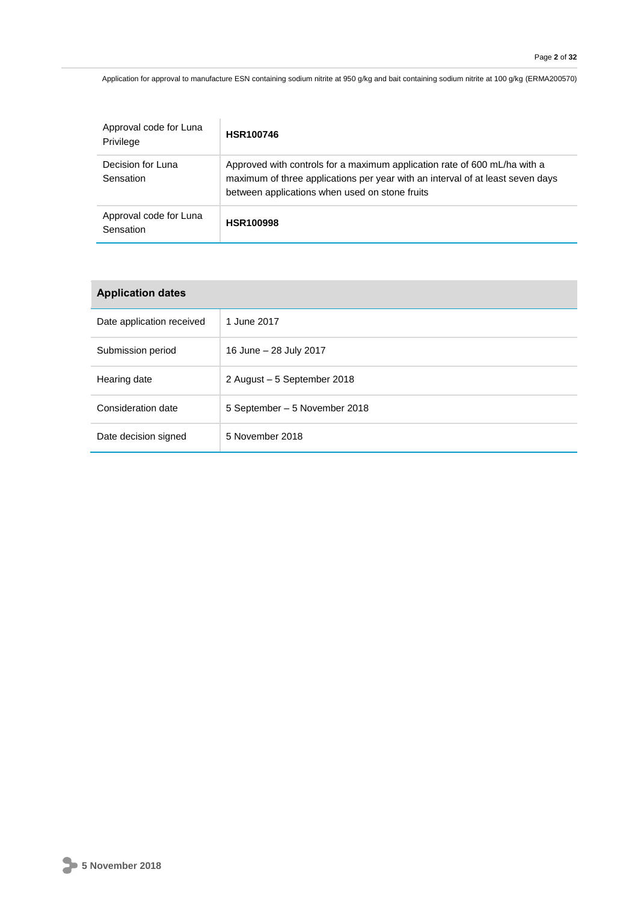Application for approval to manufacture ESN containing sodium nitrite at 950 g/kg and bait containing sodium nitrite at 100 g/kg (ERMA200570)

| Approval code for Luna<br>Privilege | <b>HSR100746</b>                                                                                                                                                                                              |
|-------------------------------------|---------------------------------------------------------------------------------------------------------------------------------------------------------------------------------------------------------------|
| Decision for Luna<br>Sensation      | Approved with controls for a maximum application rate of 600 mL/ha with a<br>maximum of three applications per year with an interval of at least seven days<br>between applications when used on stone fruits |
| Approval code for Luna<br>Sensation | <b>HSR100998</b>                                                                                                                                                                                              |

| <b>Application dates</b>  |                               |
|---------------------------|-------------------------------|
| Date application received | 1 June 2017                   |
| Submission period         | 16 June - 28 July 2017        |
| Hearing date              | 2 August – 5 September 2018   |
| Consideration date        | 5 September - 5 November 2018 |
| Date decision signed      | 5 November 2018               |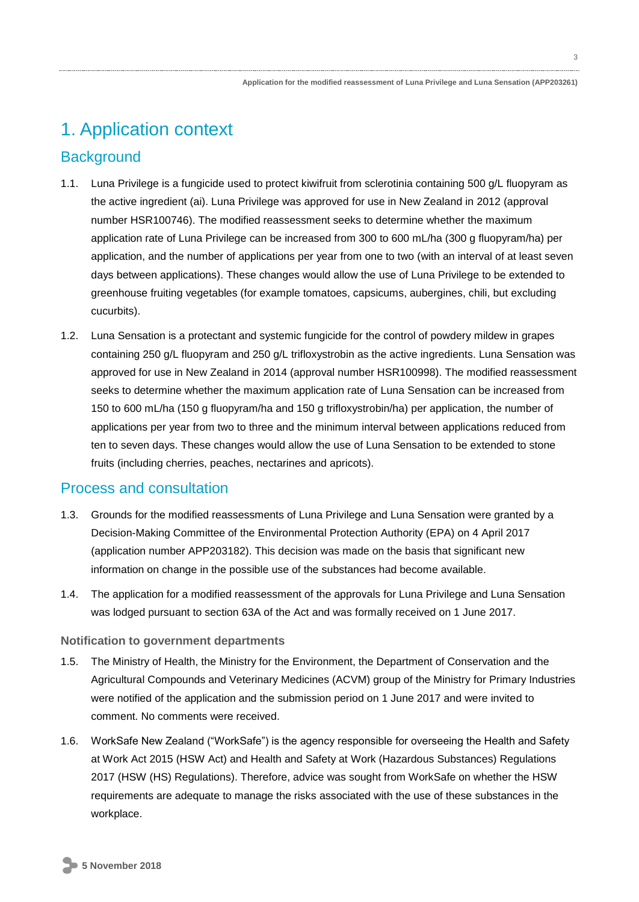# 1. Application context

## **Background**

- 1.1. Luna Privilege is a fungicide used to protect kiwifruit from sclerotinia containing 500 g/L fluopyram as the active ingredient (ai). Luna Privilege was approved for use in New Zealand in 2012 (approval number HSR100746). The modified reassessment seeks to determine whether the maximum application rate of Luna Privilege can be increased from 300 to 600 mL/ha (300 g fluopyram/ha) per application, and the number of applications per year from one to two (with an interval of at least seven days between applications). These changes would allow the use of Luna Privilege to be extended to greenhouse fruiting vegetables (for example tomatoes, capsicums, aubergines, chili, but excluding cucurbits).
- 1.2. Luna Sensation is a protectant and systemic fungicide for the control of powdery mildew in grapes containing 250 g/L fluopyram and 250 g/L trifloxystrobin as the active ingredients. Luna Sensation was approved for use in New Zealand in 2014 (approval number HSR100998). The modified reassessment seeks to determine whether the maximum application rate of Luna Sensation can be increased from 150 to 600 mL/ha (150 g fluopyram/ha and 150 g trifloxystrobin/ha) per application, the number of applications per year from two to three and the minimum interval between applications reduced from ten to seven days. These changes would allow the use of Luna Sensation to be extended to stone fruits (including cherries, peaches, nectarines and apricots).

## Process and consultation

- 1.3. Grounds for the modified reassessments of Luna Privilege and Luna Sensation were granted by a Decision-Making Committee of the Environmental Protection Authority (EPA) on 4 April 2017 (application number APP203182). This decision was made on the basis that significant new information on change in the possible use of the substances had become available.
- 1.4. The application for a modified reassessment of the approvals for Luna Privilege and Luna Sensation was lodged pursuant to section 63A of the Act and was formally received on 1 June 2017.

#### **Notification to government departments**

- 1.5. The Ministry of Health, the Ministry for the Environment, the Department of Conservation and the Agricultural Compounds and Veterinary Medicines (ACVM) group of the Ministry for Primary Industries were notified of the application and the submission period on 1 June 2017 and were invited to comment. No comments were received.
- 1.6. WorkSafe New Zealand ("WorkSafe") is the agency responsible for overseeing the Health and Safety at Work Act 2015 (HSW Act) and Health and Safety at Work (Hazardous Substances) Regulations 2017 (HSW (HS) Regulations). Therefore, advice was sought from WorkSafe on whether the HSW requirements are adequate to manage the risks associated with the use of these substances in the workplace.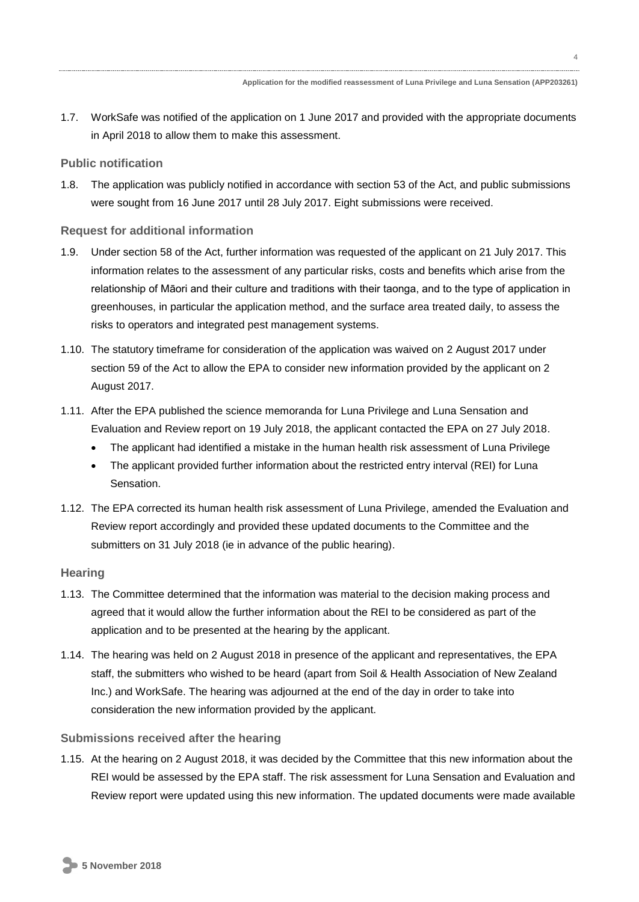4

1.7. WorkSafe was notified of the application on 1 June 2017 and provided with the appropriate documents in April 2018 to allow them to make this assessment.

#### **Public notification**

1.8. The application was publicly notified in accordance with section 53 of the Act, and public submissions were sought from 16 June 2017 until 28 July 2017. Eight submissions were received.

#### **Request for additional information**

- 1.9. Under section 58 of the Act, further information was requested of the applicant on 21 July 2017. This information relates to the assessment of any particular risks, costs and benefits which arise from the relationship of Māori and their culture and traditions with their taonga, and to the type of application in greenhouses, in particular the application method, and the surface area treated daily, to assess the risks to operators and integrated pest management systems.
- 1.10. The statutory timeframe for consideration of the application was waived on 2 August 2017 under section 59 of the Act to allow the EPA to consider new information provided by the applicant on 2 August 2017.
- 1.11. After the EPA published the science memoranda for Luna Privilege and Luna Sensation and Evaluation and Review report on 19 July 2018, the applicant contacted the EPA on 27 July 2018.
	- The applicant had identified a mistake in the human health risk assessment of Luna Privilege
	- The applicant provided further information about the restricted entry interval (REI) for Luna Sensation.
- 1.12. The EPA corrected its human health risk assessment of Luna Privilege, amended the Evaluation and Review report accordingly and provided these updated documents to the Committee and the submitters on 31 July 2018 (ie in advance of the public hearing).

#### **Hearing**

- 1.13. The Committee determined that the information was material to the decision making process and agreed that it would allow the further information about the REI to be considered as part of the application and to be presented at the hearing by the applicant.
- 1.14. The hearing was held on 2 August 2018 in presence of the applicant and representatives, the EPA staff, the submitters who wished to be heard (apart from Soil & Health Association of New Zealand Inc.) and WorkSafe. The hearing was adjourned at the end of the day in order to take into consideration the new information provided by the applicant.

#### **Submissions received after the hearing**

1.15. At the hearing on 2 August 2018, it was decided by the Committee that this new information about the REI would be assessed by the EPA staff. The risk assessment for Luna Sensation and Evaluation and Review report were updated using this new information. The updated documents were made available

**5 November 2018**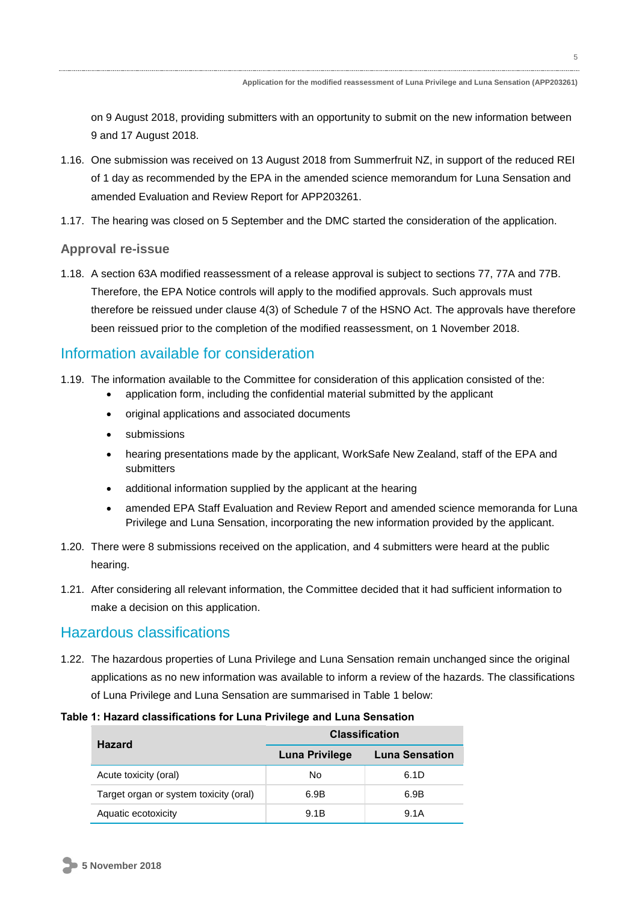on 9 August 2018, providing submitters with an opportunity to submit on the new information between 9 and 17 August 2018.

- 1.16. One submission was received on 13 August 2018 from Summerfruit NZ, in support of the reduced REI of 1 day as recommended by the EPA in the amended science memorandum for Luna Sensation and amended Evaluation and Review Report for APP203261.
- 1.17. The hearing was closed on 5 September and the DMC started the consideration of the application.

#### **Approval re-issue**

1.18. A section 63A modified reassessment of a release approval is subject to sections 77, 77A and 77B. Therefore, the EPA Notice controls will apply to the modified approvals. Such approvals must therefore be reissued under clause 4(3) of Schedule 7 of the HSNO Act. The approvals have therefore been reissued prior to the completion of the modified reassessment, on 1 November 2018.

## Information available for consideration

- 1.19. The information available to the Committee for consideration of this application consisted of the:
	- application form, including the confidential material submitted by the applicant
	- original applications and associated documents
	- submissions
	- hearing presentations made by the applicant, WorkSafe New Zealand, staff of the EPA and submitters
	- additional information supplied by the applicant at the hearing
	- amended EPA Staff Evaluation and Review Report and amended science memoranda for Luna Privilege and Luna Sensation, incorporating the new information provided by the applicant.
- 1.20. There were 8 submissions received on the application, and 4 submitters were heard at the public hearing.
- 1.21. After considering all relevant information, the Committee decided that it had sufficient information to make a decision on this application.

### Hazardous classifications

1.22. The hazardous properties of Luna Privilege and Luna Sensation remain unchanged since the original applications as no new information was available to inform a review of the hazards. The classifications of Luna Privilege and Luna Sensation are summarised in [Table 1](#page-4-0) below:

<span id="page-4-0"></span>

| <b>Hazard</b>                          | <b>Classification</b> |                       |
|----------------------------------------|-----------------------|-----------------------|
|                                        | Luna Privilege        | <b>Luna Sensation</b> |
| Acute toxicity (oral)                  | No                    | 6.1D                  |
| Target organ or system toxicity (oral) | 6.9B                  | 6.9B                  |
| Aquatic ecotoxicity                    | 9.1B                  | 9.1A                  |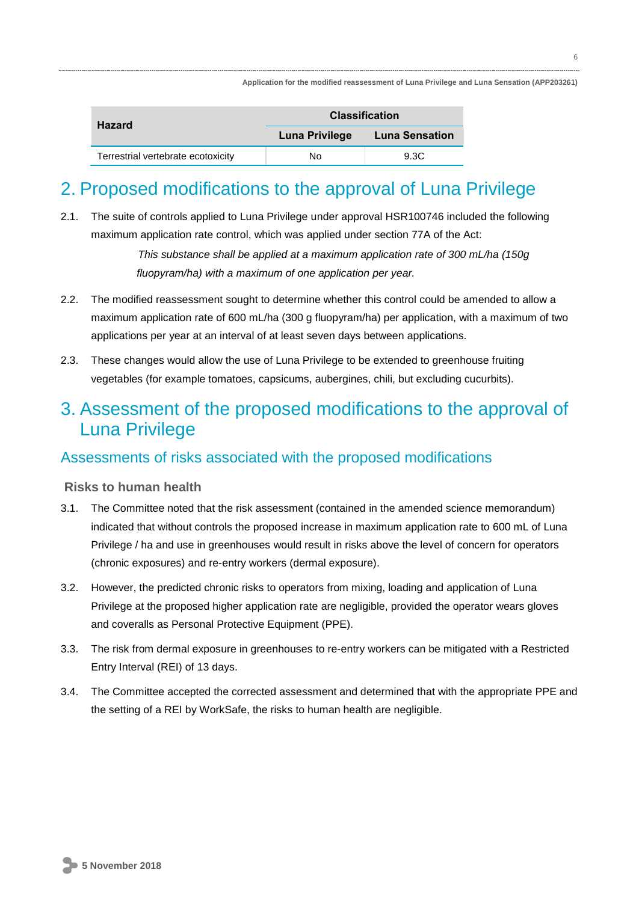| <b>Hazard</b>                      | <b>Classification</b> |                       |
|------------------------------------|-----------------------|-----------------------|
|                                    | Luna Privilege        | <b>Luna Sensation</b> |
| Terrestrial vertebrate ecotoxicity | Nο                    | 9.3C                  |

# 2. Proposed modifications to the approval of Luna Privilege

2.1. The suite of controls applied to Luna Privilege under approval HSR100746 included the following maximum application rate control, which was applied under section 77A of the Act:

> *This substance shall be applied at a maximum application rate of 300 mL/ha (150g fluopyram/ha) with a maximum of one application per year.*

- 2.2. The modified reassessment sought to determine whether this control could be amended to allow a maximum application rate of 600 mL/ha (300 g fluopyram/ha) per application, with a maximum of two applications per year at an interval of at least seven days between applications.
- 2.3. These changes would allow the use of Luna Privilege to be extended to greenhouse fruiting vegetables (for example tomatoes, capsicums, aubergines, chili, but excluding cucurbits).

## 3. Assessment of the proposed modifications to the approval of Luna Privilege

## Assessments of risks associated with the proposed modifications

#### **Risks to human health**

- 3.1. The Committee noted that the risk assessment (contained in the amended science memorandum) indicated that without controls the proposed increase in maximum application rate to 600 mL of Luna Privilege / ha and use in greenhouses would result in risks above the level of concern for operators (chronic exposures) and re-entry workers (dermal exposure).
- 3.2. However, the predicted chronic risks to operators from mixing, loading and application of Luna Privilege at the proposed higher application rate are negligible, provided the operator wears gloves and coveralls as Personal Protective Equipment (PPE).
- 3.3. The risk from dermal exposure in greenhouses to re-entry workers can be mitigated with a Restricted Entry Interval (REI) of 13 days.
- 3.4. The Committee accepted the corrected assessment and determined that with the appropriate PPE and the setting of a REI by WorkSafe, the risks to human health are negligible.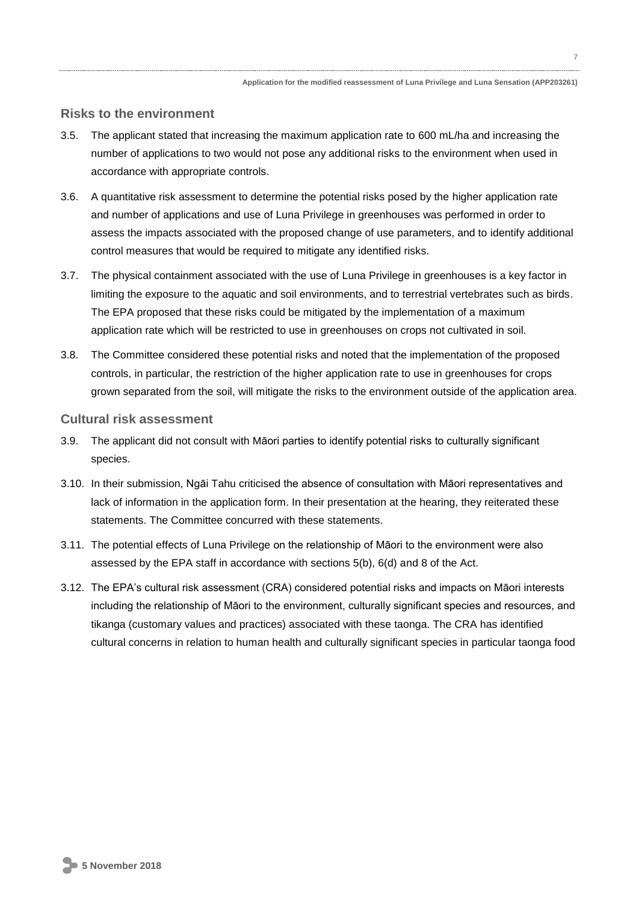#### **Risks to the environment**

- 3.5. The applicant stated that increasing the maximum application rate to 600 mL/ha and increasing the number of applications to two would not pose any additional risks to the environment when used in accordance with appropriate controls.
- 3.6. A quantitative risk assessment to determine the potential risks posed by the higher application rate and number of applications and use of Luna Privilege in greenhouses was performed in order to assess the impacts associated with the proposed change of use parameters, and to identify additional control measures that would be required to mitigate any identified risks.
- 3.7. The physical containment associated with the use of Luna Privilege in greenhouses is a key factor in limiting the exposure to the aquatic and soil environments, and to terrestrial vertebrates such as birds. The EPA proposed that these risks could be mitigated by the implementation of a maximum application rate which will be restricted to use in greenhouses on crops not cultivated in soil.
- 3.8. The Committee considered these potential risks and noted that the implementation of the proposed controls, in particular, the restriction of the higher application rate to use in greenhouses for crops grown separated from the soil, will mitigate the risks to the environment outside of the application area.

#### **Cultural risk assessment**

- 3.9. The applicant did not consult with Māori parties to identify potential risks to culturally significant species.
- 3.10. In their submission, Ngāi Tahu criticised the absence of consultation with Māori representatives and lack of information in the application form. In their presentation at the hearing, they reiterated these statements. The Committee concurred with these statements.
- 3.11. The potential effects of Luna Privilege on the relationship of Māori to the environment were also assessed by the EPA staff in accordance with sections 5(b), 6(d) and 8 of the Act.
- 3.12. The EPA's cultural risk assessment (CRA) considered potential risks and impacts on Māori interests including the relationship of Māori to the environment, culturally significant species and resources, and tikanga (customary values and practices) associated with these taonga. The CRA has identified cultural concerns in relation to human health and culturally significant species in particular taonga food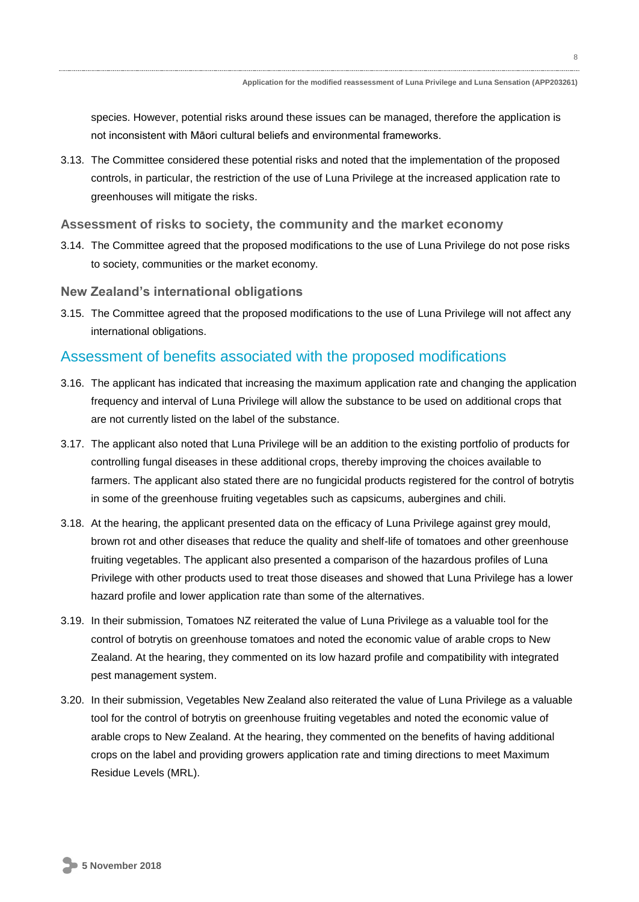species. However, potential risks around these issues can be managed, therefore the application is not inconsistent with Māori cultural beliefs and environmental frameworks.

3.13. The Committee considered these potential risks and noted that the implementation of the proposed controls, in particular, the restriction of the use of Luna Privilege at the increased application rate to greenhouses will mitigate the risks.

#### **Assessment of risks to society, the community and the market economy**

3.14. The Committee agreed that the proposed modifications to the use of Luna Privilege do not pose risks to society, communities or the market economy.

#### **New Zealand's international obligations**

3.15. The Committee agreed that the proposed modifications to the use of Luna Privilege will not affect any international obligations.

### Assessment of benefits associated with the proposed modifications

- 3.16. The applicant has indicated that increasing the maximum application rate and changing the application frequency and interval of Luna Privilege will allow the substance to be used on additional crops that are not currently listed on the label of the substance.
- 3.17. The applicant also noted that Luna Privilege will be an addition to the existing portfolio of products for controlling fungal diseases in these additional crops, thereby improving the choices available to farmers. The applicant also stated there are no fungicidal products registered for the control of botrytis in some of the greenhouse fruiting vegetables such as capsicums, aubergines and chili.
- 3.18. At the hearing, the applicant presented data on the efficacy of Luna Privilege against grey mould, brown rot and other diseases that reduce the quality and shelf-life of tomatoes and other greenhouse fruiting vegetables. The applicant also presented a comparison of the hazardous profiles of Luna Privilege with other products used to treat those diseases and showed that Luna Privilege has a lower hazard profile and lower application rate than some of the alternatives.
- 3.19. In their submission, Tomatoes NZ reiterated the value of Luna Privilege as a valuable tool for the control of botrytis on greenhouse tomatoes and noted the economic value of arable crops to New Zealand. At the hearing, they commented on its low hazard profile and compatibility with integrated pest management system.
- 3.20. In their submission, Vegetables New Zealand also reiterated the value of Luna Privilege as a valuable tool for the control of botrytis on greenhouse fruiting vegetables and noted the economic value of arable crops to New Zealand. At the hearing, they commented on the benefits of having additional crops on the label and providing growers application rate and timing directions to meet Maximum Residue Levels (MRL).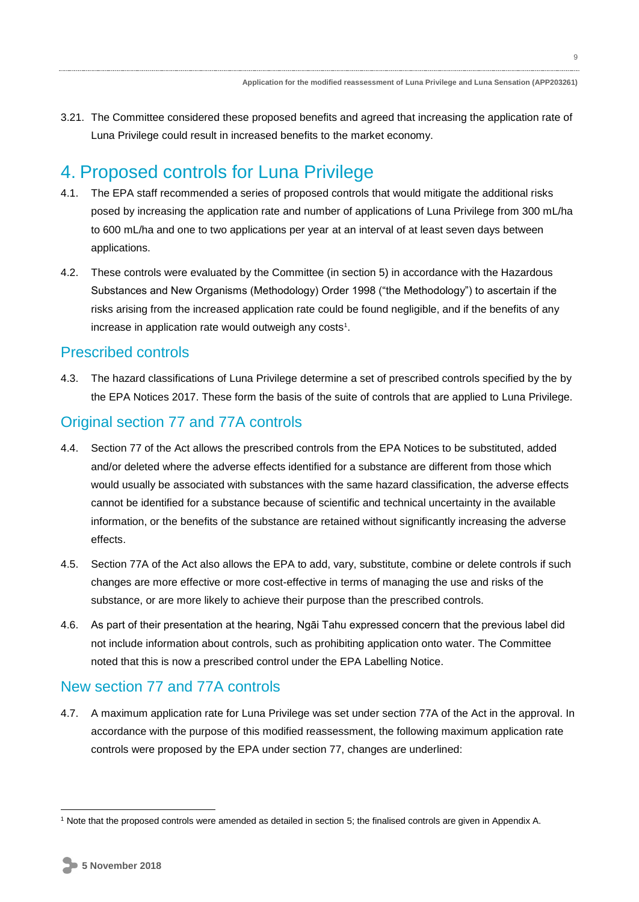3.21. The Committee considered these proposed benefits and agreed that increasing the application rate of Luna Privilege could result in increased benefits to the market economy.

## 4. Proposed controls for Luna Privilege

- 4.1. The EPA staff recommended a series of proposed controls that would mitigate the additional risks posed by increasing the application rate and number of applications of Luna Privilege from 300 mL/ha to 600 mL/ha and one to two applications per year at an interval of at least seven days between applications.
- 4.2. These controls were evaluated by the Committee (in section 5) in accordance with the Hazardous Substances and New Organisms (Methodology) Order 1998 ("the Methodology") to ascertain if the risks arising from the increased application rate could be found negligible, and if the benefits of any increase in application rate would outweigh any costs<sup>1</sup>.

### Prescribed controls

4.3. The hazard classifications of Luna Privilege determine a set of prescribed controls specified by the by the EPA Notices 2017. These form the basis of the suite of controls that are applied to Luna Privilege.

## Original section 77 and 77A controls

- 4.4. Section 77 of the Act allows the prescribed controls from the EPA Notices to be substituted, added and/or deleted where the adverse effects identified for a substance are different from those which would usually be associated with substances with the same hazard classification, the adverse effects cannot be identified for a substance because of scientific and technical uncertainty in the available information, or the benefits of the substance are retained without significantly increasing the adverse effects.
- 4.5. Section 77A of the Act also allows the EPA to add, vary, substitute, combine or delete controls if such changes are more effective or more cost-effective in terms of managing the use and risks of the substance, or are more likely to achieve their purpose than the prescribed controls.
- 4.6. As part of their presentation at the hearing, Ngāi Tahu expressed concern that the previous label did not include information about controls, such as prohibiting application onto water. The Committee noted that this is now a prescribed control under the EPA Labelling Notice.

## New section 77 and 77A controls

4.7. A maximum application rate for Luna Privilege was set under section 77A of the Act in the approval. In accordance with the purpose of this modified reassessment, the following maximum application rate controls were proposed by the EPA under section 77, changes are underlined:

<sup>1</sup> Note that the proposed controls were amended as detailed in section 5; the finalised controls are given in Appendix A.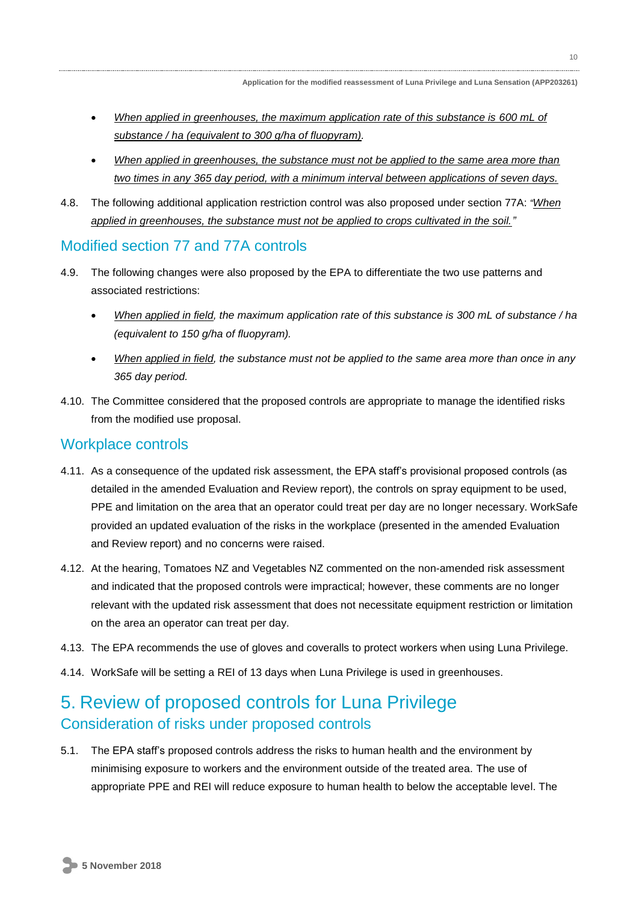- *When applied in greenhouses, the maximum application rate of this substance is 600 mL of substance / ha (equivalent to 300 g/ha of fluopyram).*
- *When applied in greenhouses, the substance must not be applied to the same area more than two times in any 365 day period, with a minimum interval between applications of seven days.*
- 4.8. The following additional application restriction control was also proposed under section 77A: *"When applied in greenhouses, the substance must not be applied to crops cultivated in the soil."*

#### Modified section 77 and 77A controls

- 4.9. The following changes were also proposed by the EPA to differentiate the two use patterns and associated restrictions:
	- *When applied in field, the maximum application rate of this substance is 300 mL of substance / ha (equivalent to 150 g/ha of fluopyram).*
	- *When applied in field, the substance must not be applied to the same area more than once in any 365 day period.*
- 4.10. The Committee considered that the proposed controls are appropriate to manage the identified risks from the modified use proposal.

#### Workplace controls

- 4.11. As a consequence of the updated risk assessment, the EPA staff's provisional proposed controls (as detailed in the amended Evaluation and Review report), the controls on spray equipment to be used, PPE and limitation on the area that an operator could treat per day are no longer necessary. WorkSafe provided an updated evaluation of the risks in the workplace (presented in the amended Evaluation and Review report) and no concerns were raised.
- 4.12. At the hearing, Tomatoes NZ and Vegetables NZ commented on the non-amended risk assessment and indicated that the proposed controls were impractical; however, these comments are no longer relevant with the updated risk assessment that does not necessitate equipment restriction or limitation on the area an operator can treat per day.
- 4.13. The EPA recommends the use of gloves and coveralls to protect workers when using Luna Privilege.
- 4.14. WorkSafe will be setting a REI of 13 days when Luna Privilege is used in greenhouses.

## 5. Review of proposed controls for Luna Privilege Consideration of risks under proposed controls

5.1. The EPA staff's proposed controls address the risks to human health and the environment by minimising exposure to workers and the environment outside of the treated area. The use of appropriate PPE and REI will reduce exposure to human health to below the acceptable level. The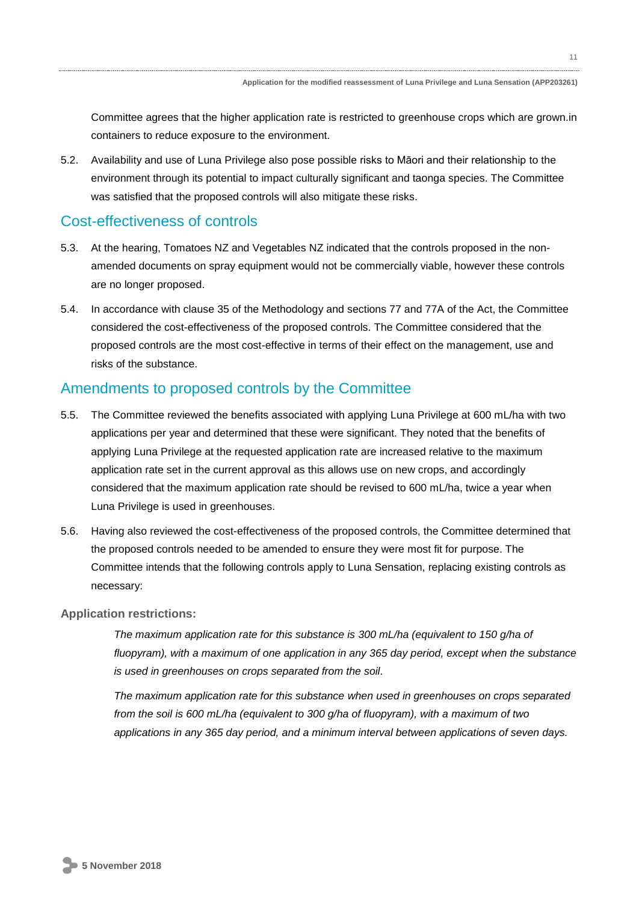Committee agrees that the higher application rate is restricted to greenhouse crops which are grown.in containers to reduce exposure to the environment.

5.2. Availability and use of Luna Privilege also pose possible risks to Māori and their relationship to the environment through its potential to impact culturally significant and taonga species. The Committee was satisfied that the proposed controls will also mitigate these risks.

## Cost-effectiveness of controls

- 5.3. At the hearing, Tomatoes NZ and Vegetables NZ indicated that the controls proposed in the nonamended documents on spray equipment would not be commercially viable, however these controls are no longer proposed.
- 5.4. In accordance with clause 35 of the Methodology and sections 77 and 77A of the Act, the Committee considered the cost-effectiveness of the proposed controls. The Committee considered that the proposed controls are the most cost-effective in terms of their effect on the management, use and risks of the substance.

### Amendments to proposed controls by the Committee

- 5.5. The Committee reviewed the benefits associated with applying Luna Privilege at 600 mL/ha with two applications per year and determined that these were significant. They noted that the benefits of applying Luna Privilege at the requested application rate are increased relative to the maximum application rate set in the current approval as this allows use on new crops, and accordingly considered that the maximum application rate should be revised to 600 mL/ha, twice a year when Luna Privilege is used in greenhouses.
- 5.6. Having also reviewed the cost-effectiveness of the proposed controls, the Committee determined that the proposed controls needed to be amended to ensure they were most fit for purpose. The Committee intends that the following controls apply to Luna Sensation, replacing existing controls as necessary:

#### **Application restrictions:**

*The maximum application rate for this substance is 300 mL/ha (equivalent to 150 g/ha of fluopyram), with a maximum of one application in any 365 day period, except when the substance is used in greenhouses on crops separated from the soil.* 

*The maximum application rate for this substance when used in greenhouses on crops separated from the soil is 600 mL/ha (equivalent to 300 g/ha of fluopyram), with a maximum of two applications in any 365 day period, and a minimum interval between applications of seven days.*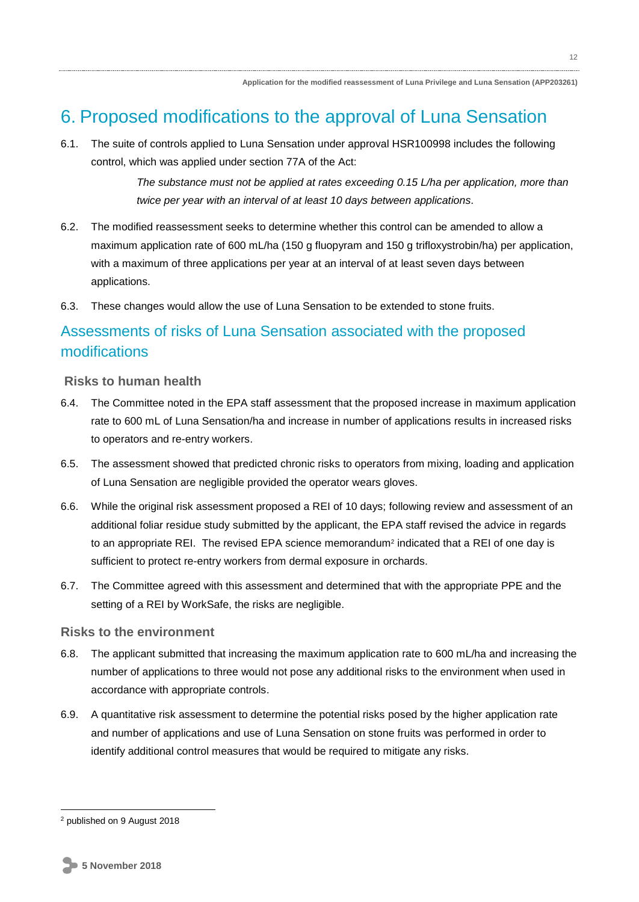## 6. Proposed modifications to the approval of Luna Sensation

6.1. The suite of controls applied to Luna Sensation under approval HSR100998 includes the following control, which was applied under section 77A of the Act:

> *The substance must not be applied at rates exceeding 0.15 L/ha per application, more than twice per year with an interval of at least 10 days between applications.*

- 6.2. The modified reassessment seeks to determine whether this control can be amended to allow a maximum application rate of 600 mL/ha (150 g fluopyram and 150 g trifloxystrobin/ha) per application, with a maximum of three applications per year at an interval of at least seven days between applications.
- 6.3. These changes would allow the use of Luna Sensation to be extended to stone fruits.

## Assessments of risks of Luna Sensation associated with the proposed modifications

#### **Risks to human health**

- 6.4. The Committee noted in the EPA staff assessment that the proposed increase in maximum application rate to 600 mL of Luna Sensation/ha and increase in number of applications results in increased risks to operators and re-entry workers.
- 6.5. The assessment showed that predicted chronic risks to operators from mixing, loading and application of Luna Sensation are negligible provided the operator wears gloves.
- 6.6. While the original risk assessment proposed a REI of 10 days; following review and assessment of an additional foliar residue study submitted by the applicant, the EPA staff revised the advice in regards to an appropriate REI. The revised EPA science memorandum<sup>2</sup> indicated that a REI of one day is sufficient to protect re-entry workers from dermal exposure in orchards.
- 6.7. The Committee agreed with this assessment and determined that with the appropriate PPE and the setting of a REI by WorkSafe, the risks are negligible.

#### **Risks to the environment**

- 6.8. The applicant submitted that increasing the maximum application rate to 600 mL/ha and increasing the number of applications to three would not pose any additional risks to the environment when used in accordance with appropriate controls.
- 6.9. A quantitative risk assessment to determine the potential risks posed by the higher application rate and number of applications and use of Luna Sensation on stone fruits was performed in order to identify additional control measures that would be required to mitigate any risks.

<sup>2</sup> published on 9 August 2018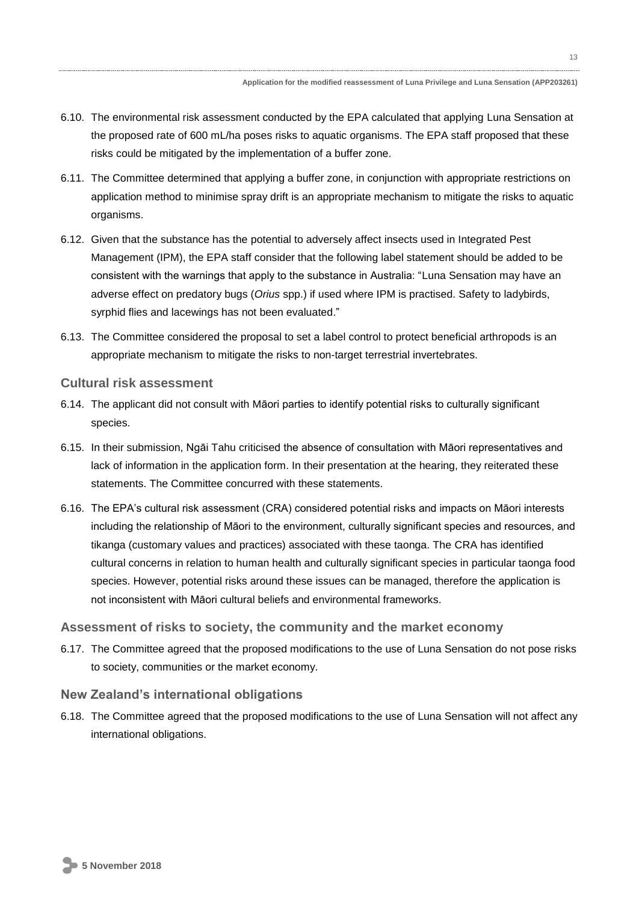- 6.10. The environmental risk assessment conducted by the EPA calculated that applying Luna Sensation at the proposed rate of 600 mL/ha poses risks to aquatic organisms. The EPA staff proposed that these risks could be mitigated by the implementation of a buffer zone.
- 6.11. The Committee determined that applying a buffer zone, in conjunction with appropriate restrictions on application method to minimise spray drift is an appropriate mechanism to mitigate the risks to aquatic organisms.
- 6.12. Given that the substance has the potential to adversely affect insects used in Integrated Pest Management (IPM), the EPA staff consider that the following label statement should be added to be consistent with the warnings that apply to the substance in Australia: "Luna Sensation may have an adverse effect on predatory bugs (*Orius* spp.) if used where IPM is practised. Safety to ladybirds, syrphid flies and lacewings has not been evaluated."
- 6.13. The Committee considered the proposal to set a label control to protect beneficial arthropods is an appropriate mechanism to mitigate the risks to non-target terrestrial invertebrates.

### **Cultural risk assessment**

- 6.14. The applicant did not consult with Māori parties to identify potential risks to culturally significant species.
- 6.15. In their submission, Ngāi Tahu criticised the absence of consultation with Māori representatives and lack of information in the application form. In their presentation at the hearing, they reiterated these statements. The Committee concurred with these statements.
- 6.16. The EPA's cultural risk assessment (CRA) considered potential risks and impacts on Māori interests including the relationship of Māori to the environment, culturally significant species and resources, and tikanga (customary values and practices) associated with these taonga. The CRA has identified cultural concerns in relation to human health and culturally significant species in particular taonga food species. However, potential risks around these issues can be managed, therefore the application is not inconsistent with Māori cultural beliefs and environmental frameworks.

## **Assessment of risks to society, the community and the market economy**

6.17. The Committee agreed that the proposed modifications to the use of Luna Sensation do not pose risks to society, communities or the market economy.

## **New Zealand's international obligations**

6.18. The Committee agreed that the proposed modifications to the use of Luna Sensation will not affect any international obligations.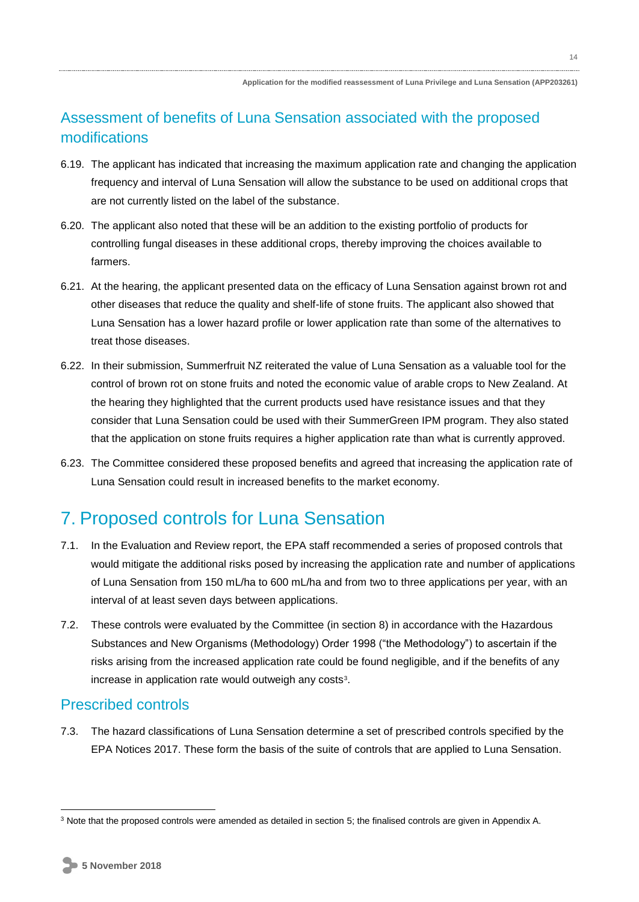## Assessment of benefits of Luna Sensation associated with the proposed modifications

- 6.19. The applicant has indicated that increasing the maximum application rate and changing the application frequency and interval of Luna Sensation will allow the substance to be used on additional crops that are not currently listed on the label of the substance.
- 6.20. The applicant also noted that these will be an addition to the existing portfolio of products for controlling fungal diseases in these additional crops, thereby improving the choices available to farmers.
- 6.21. At the hearing, the applicant presented data on the efficacy of Luna Sensation against brown rot and other diseases that reduce the quality and shelf-life of stone fruits. The applicant also showed that Luna Sensation has a lower hazard profile or lower application rate than some of the alternatives to treat those diseases.
- 6.22. In their submission, Summerfruit NZ reiterated the value of Luna Sensation as a valuable tool for the control of brown rot on stone fruits and noted the economic value of arable crops to New Zealand. At the hearing they highlighted that the current products used have resistance issues and that they consider that Luna Sensation could be used with their SummerGreen IPM program. They also stated that the application on stone fruits requires a higher application rate than what is currently approved.
- 6.23. The Committee considered these proposed benefits and agreed that increasing the application rate of Luna Sensation could result in increased benefits to the market economy.

## 7. Proposed controls for Luna Sensation

- 7.1. In the Evaluation and Review report, the EPA staff recommended a series of proposed controls that would mitigate the additional risks posed by increasing the application rate and number of applications of Luna Sensation from 150 mL/ha to 600 mL/ha and from two to three applications per year, with an interval of at least seven days between applications.
- 7.2. These controls were evaluated by the Committee (in section 8) in accordance with the Hazardous Substances and New Organisms (Methodology) Order 1998 ("the Methodology") to ascertain if the risks arising from the increased application rate could be found negligible, and if the benefits of any increase in application rate would outweigh any costs $3$ .

## Prescribed controls

7.3. The hazard classifications of Luna Sensation determine a set of prescribed controls specified by the EPA Notices 2017. These form the basis of the suite of controls that are applied to Luna Sensation.

<sup>3</sup> Note that the proposed controls were amended as detailed in section 5; the finalised controls are given in Appendix A.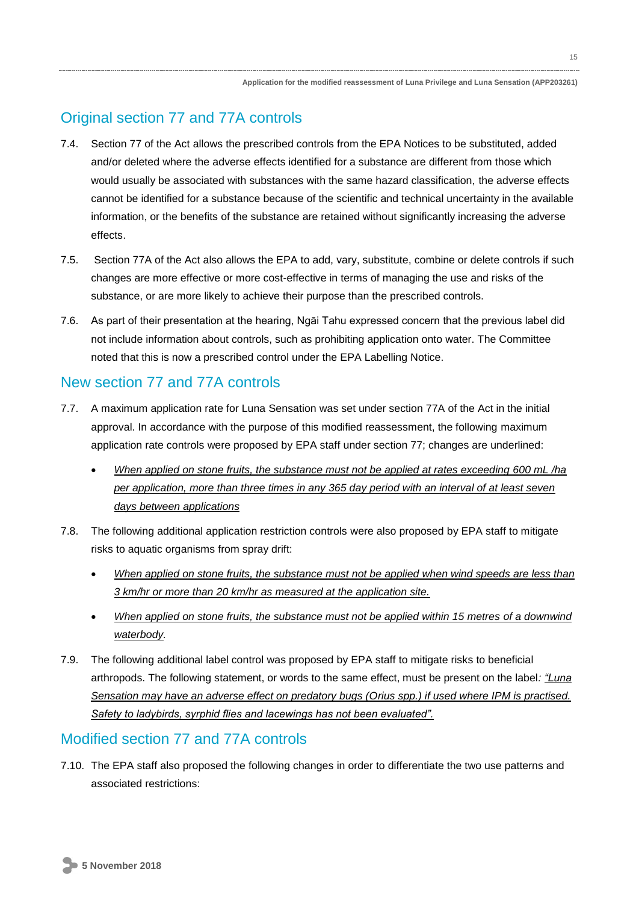## Original section 77 and 77A controls

- 7.4. Section 77 of the Act allows the prescribed controls from the EPA Notices to be substituted, added and/or deleted where the adverse effects identified for a substance are different from those which would usually be associated with substances with the same hazard classification, the adverse effects cannot be identified for a substance because of the scientific and technical uncertainty in the available information, or the benefits of the substance are retained without significantly increasing the adverse effects.
- 7.5. Section 77A of the Act also allows the EPA to add, vary, substitute, combine or delete controls if such changes are more effective or more cost-effective in terms of managing the use and risks of the substance, or are more likely to achieve their purpose than the prescribed controls.
- 7.6. As part of their presentation at the hearing, Ngāi Tahu expressed concern that the previous label did not include information about controls, such as prohibiting application onto water. The Committee noted that this is now a prescribed control under the EPA Labelling Notice.

### New section 77 and 77A controls

- 7.7. A maximum application rate for Luna Sensation was set under section 77A of the Act in the initial approval. In accordance with the purpose of this modified reassessment, the following maximum application rate controls were proposed by EPA staff under section 77; changes are underlined:
	- *When applied on stone fruits, the substance must not be applied at rates exceeding 600 mL /ha per application, more than three times in any 365 day period with an interval of at least seven days between applications*
- 7.8. The following additional application restriction controls were also proposed by EPA staff to mitigate risks to aquatic organisms from spray drift:
	- *When applied on stone fruits, the substance must not be applied when wind speeds are less than 3 km/hr or more than 20 km/hr as measured at the application site.*
	- *When applied on stone fruits, the substance must not be applied within 15 metres of a downwind waterbody.*
- 7.9. The following additional label control was proposed by EPA staff to mitigate risks to beneficial arthropods. The following statement, or words to the same effect, must be present on the label*: "Luna Sensation may have an adverse effect on predatory bugs (Orius spp.) if used where IPM is practised. Safety to ladybirds, syrphid flies and lacewings has not been evaluated".*

### Modified section 77 and 77A controls

7.10. The EPA staff also proposed the following changes in order to differentiate the two use patterns and associated restrictions: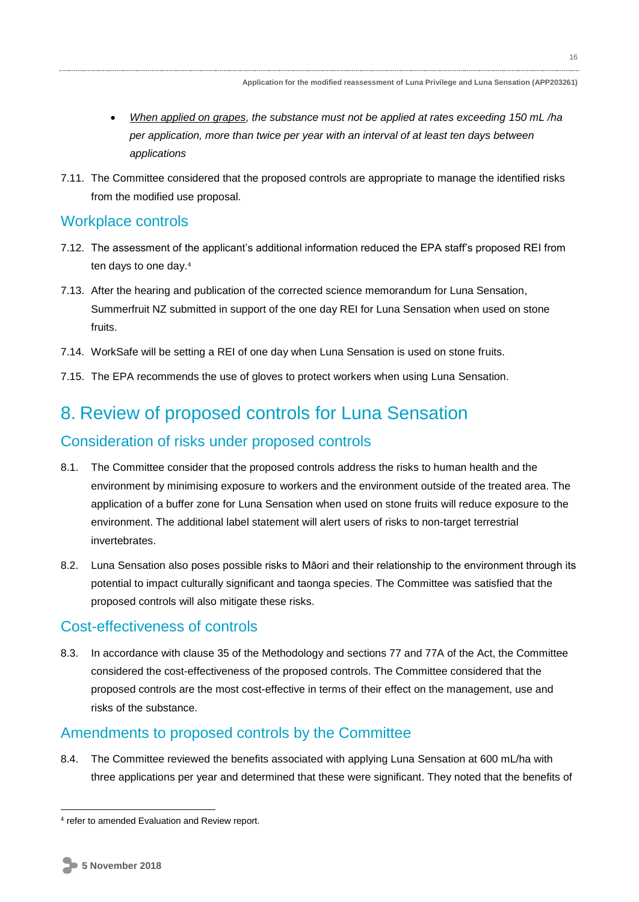16

- *When applied on grapes, the substance must not be applied at rates exceeding 150 mL /ha per application, more than twice per year with an interval of at least ten days between applications*
- 7.11. The Committee considered that the proposed controls are appropriate to manage the identified risks from the modified use proposal.

### Workplace controls

- 7.12. The assessment of the applicant's additional information reduced the EPA staff's proposed REI from ten days to one day.<sup>4</sup>
- 7.13. After the hearing and publication of the corrected science memorandum for Luna Sensation, Summerfruit NZ submitted in support of the one day REI for Luna Sensation when used on stone fruits.
- 7.14. WorkSafe will be setting a REI of one day when Luna Sensation is used on stone fruits.
- 7.15. The EPA recommends the use of gloves to protect workers when using Luna Sensation.

## 8. Review of proposed controls for Luna Sensation

## Consideration of risks under proposed controls

- 8.1. The Committee consider that the proposed controls address the risks to human health and the environment by minimising exposure to workers and the environment outside of the treated area. The application of a buffer zone for Luna Sensation when used on stone fruits will reduce exposure to the environment. The additional label statement will alert users of risks to non-target terrestrial invertebrates.
- 8.2. Luna Sensation also poses possible risks to Māori and their relationship to the environment through its potential to impact culturally significant and taonga species. The Committee was satisfied that the proposed controls will also mitigate these risks.

### Cost-effectiveness of controls

8.3. In accordance with clause 35 of the Methodology and sections 77 and 77A of the Act, the Committee considered the cost-effectiveness of the proposed controls. The Committee considered that the proposed controls are the most cost-effective in terms of their effect on the management, use and risks of the substance.

## Amendments to proposed controls by the Committee

8.4. The Committee reviewed the benefits associated with applying Luna Sensation at 600 mL/ha with three applications per year and determined that these were significant. They noted that the benefits of

<sup>4</sup> refer to amended Evaluation and Review report.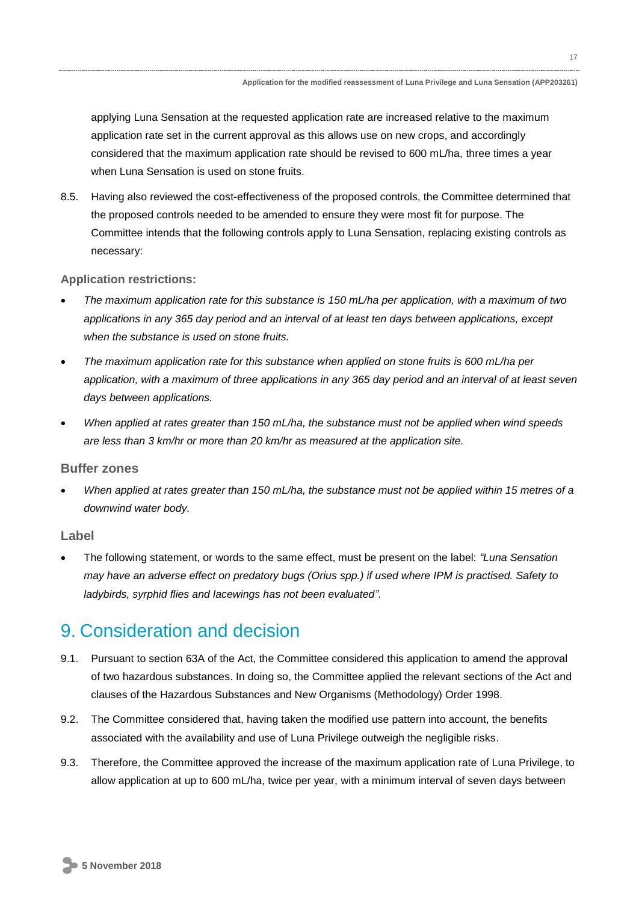applying Luna Sensation at the requested application rate are increased relative to the maximum application rate set in the current approval as this allows use on new crops, and accordingly considered that the maximum application rate should be revised to 600 mL/ha, three times a year when Luna Sensation is used on stone fruits.

8.5. Having also reviewed the cost-effectiveness of the proposed controls, the Committee determined that the proposed controls needed to be amended to ensure they were most fit for purpose. The Committee intends that the following controls apply to Luna Sensation, replacing existing controls as necessary:

#### **Application restrictions:**

- *The maximum application rate for this substance is 150 mL/ha per application, with a maximum of two applications in any 365 day period and an interval of at least ten days between applications, except when the substance is used on stone fruits.*
- *The maximum application rate for this substance when applied on stone fruits is 600 mL/ha per application, with a maximum of three applications in any 365 day period and an interval of at least seven days between applications.*
- *When applied at rates greater than 150 mL/ha, the substance must not be applied when wind speeds are less than 3 km/hr or more than 20 km/hr as measured at the application site.*

#### **Buffer zones**

 *When applied at rates greater than 150 mL/ha, the substance must not be applied within 15 metres of a downwind water body.*

#### **Label**

 The following statement, or words to the same effect, must be present on the label: *"Luna Sensation may have an adverse effect on predatory bugs (Orius spp.) if used where IPM is practised. Safety to ladybirds, syrphid flies and lacewings has not been evaluated".*

## 9. Consideration and decision

- 9.1. Pursuant to section 63A of the Act, the Committee considered this application to amend the approval of two hazardous substances. In doing so, the Committee applied the relevant sections of the Act and clauses of the Hazardous Substances and New Organisms (Methodology) Order 1998.
- 9.2. The Committee considered that, having taken the modified use pattern into account, the benefits associated with the availability and use of Luna Privilege outweigh the negligible risks.
- 9.3. Therefore, the Committee approved the increase of the maximum application rate of Luna Privilege, to allow application at up to 600 mL/ha, twice per year, with a minimum interval of seven days between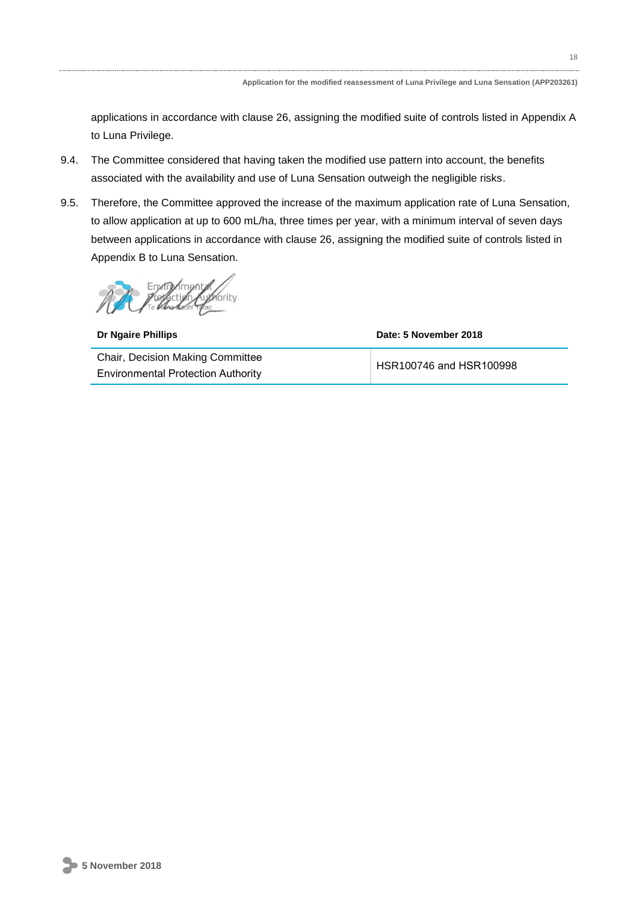applications in accordance with clause 26, assigning the modified suite of controls listed in Appendix A to Luna Privilege.

- 9.4. The Committee considered that having taken the modified use pattern into account, the benefits associated with the availability and use of Luna Sensation outweigh the negligible risks.
- 9.5. Therefore, the Committee approved the increase of the maximum application rate of Luna Sensation, to allow application at up to 600 mL/ha, three times per year, with a minimum interval of seven days between applications in accordance with clause 26, assigning the modified suite of controls listed in Appendix B to Luna Sensation.

Envira

**Dr Ngaire Phillips Date: 5 November 2018** Chair, Decision Making Committee Environmental Protection Authority

HSR100746 and HSR100998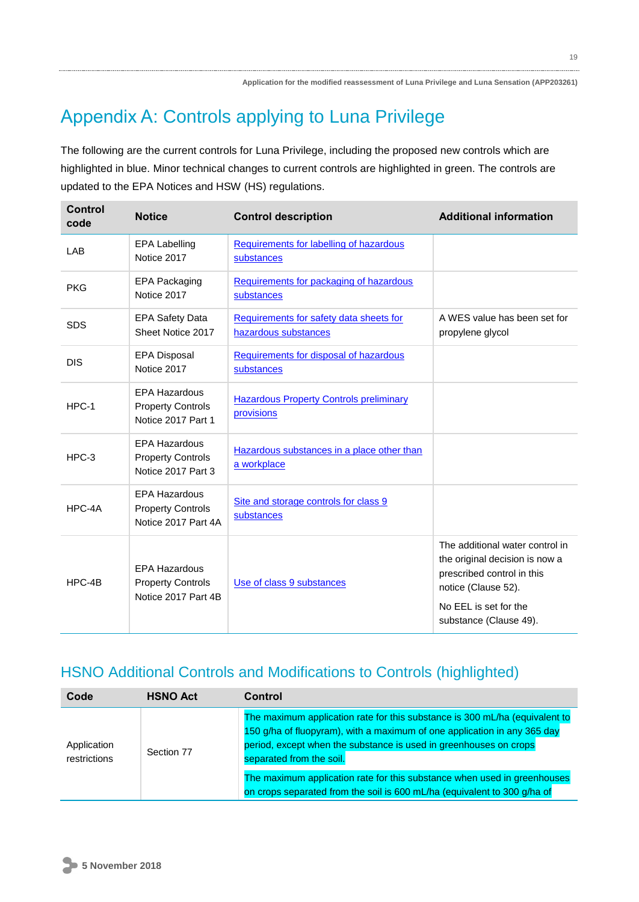# Appendix A: Controls applying to Luna Privilege

The following are the current controls for Luna Privilege, including the proposed new controls which are highlighted in blue. Minor technical changes to current controls are highlighted in green. The controls are updated to the EPA Notices and HSW (HS) regulations.

| <b>Control</b><br>code | <b>Notice</b>                                                           | <b>Control description</b>                                      | <b>Additional information</b>                                                                                                                                             |
|------------------------|-------------------------------------------------------------------------|-----------------------------------------------------------------|---------------------------------------------------------------------------------------------------------------------------------------------------------------------------|
| <b>LAB</b>             | <b>EPA Labelling</b><br>Notice 2017                                     | Requirements for labelling of hazardous<br>substances           |                                                                                                                                                                           |
| <b>PKG</b>             | <b>EPA Packaging</b><br>Notice 2017                                     | Requirements for packaging of hazardous<br>substances           |                                                                                                                                                                           |
| <b>SDS</b>             | <b>EPA Safety Data</b><br>Sheet Notice 2017                             | Requirements for safety data sheets for<br>hazardous substances | A WES value has been set for<br>propylene glycol                                                                                                                          |
| <b>DIS</b>             | <b>EPA Disposal</b><br>Notice 2017                                      | Requirements for disposal of hazardous<br>substances            |                                                                                                                                                                           |
| HPC-1                  | <b>EPA Hazardous</b><br><b>Property Controls</b><br>Notice 2017 Part 1  | <b>Hazardous Property Controls preliminary</b><br>provisions    |                                                                                                                                                                           |
| $HPC-3$                | <b>EPA Hazardous</b><br><b>Property Controls</b><br>Notice 2017 Part 3  | Hazardous substances in a place other than<br>a workplace       |                                                                                                                                                                           |
| HPC-4A                 | <b>EPA Hazardous</b><br><b>Property Controls</b><br>Notice 2017 Part 4A | Site and storage controls for class 9<br>substances             |                                                                                                                                                                           |
| $HPC-4B$               | <b>EPA Hazardous</b><br><b>Property Controls</b><br>Notice 2017 Part 4B | Use of class 9 substances                                       | The additional water control in<br>the original decision is now a<br>prescribed control in this<br>notice (Clause 52).<br>No EEL is set for the<br>substance (Clause 49). |

## HSNO Additional Controls and Modifications to Controls (highlighted)

| The maximum application rate for this substance is 300 mL/ha (equivalent to<br>150 g/ha of fluopyram), with a maximum of one application in any 365 day<br>period, except when the substance is used in greenhouses on crops<br>Application<br>Section 77<br>separated from the soil.<br>restrictions<br>The maximum application rate for this substance when used in greenhouses<br>on crops separated from the soil is 600 mL/ha (equivalent to 300 g/ha of |  |
|---------------------------------------------------------------------------------------------------------------------------------------------------------------------------------------------------------------------------------------------------------------------------------------------------------------------------------------------------------------------------------------------------------------------------------------------------------------|--|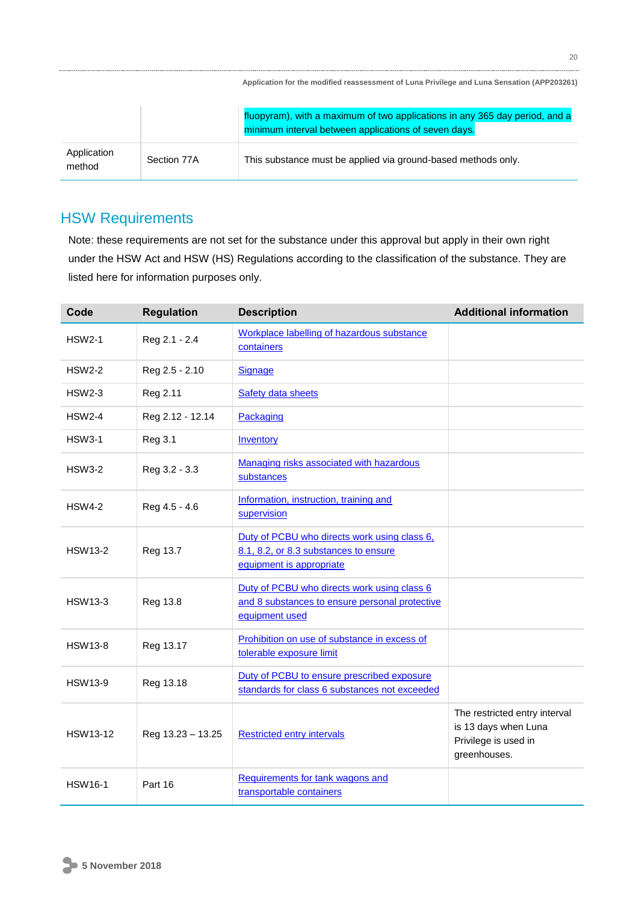|                       |             | Application for the modified reassessment of Luna Privilege and Luna Sensation (APP203261)                                          |
|-----------------------|-------------|-------------------------------------------------------------------------------------------------------------------------------------|
|                       |             | fluopyram), with a maximum of two applications in any 365 day period, and a<br>minimum interval between applications of seven days. |
| Application<br>method | Section 77A | This substance must be applied via ground-based methods only.                                                                       |

## HSW Requirements

Note: these requirements are not set for the substance under this approval but apply in their own right under the HSW Act and HSW (HS) Regulations according to the classification of the substance. They are listed here for information purposes only.

| Code            | <b>Regulation</b> | <b>Description</b>                                                                                                | <b>Additional information</b>                                                                 |
|-----------------|-------------------|-------------------------------------------------------------------------------------------------------------------|-----------------------------------------------------------------------------------------------|
| <b>HSW2-1</b>   | Reg 2.1 - 2.4     | Workplace labelling of hazardous substance<br>containers                                                          |                                                                                               |
| <b>HSW2-2</b>   | Reg 2.5 - 2.10    | Signage                                                                                                           |                                                                                               |
| <b>HSW2-3</b>   | Reg 2.11          | <b>Safety data sheets</b>                                                                                         |                                                                                               |
| <b>HSW2-4</b>   | Reg 2.12 - 12.14  | Packaging                                                                                                         |                                                                                               |
| <b>HSW3-1</b>   | Reg 3.1           | Inventory                                                                                                         |                                                                                               |
| <b>HSW3-2</b>   | Reg 3.2 - 3.3     | Managing risks associated with hazardous<br>substances                                                            |                                                                                               |
| <b>HSW4-2</b>   | Reg 4.5 - 4.6     | Information, instruction, training and<br>supervision                                                             |                                                                                               |
| <b>HSW13-2</b>  | Reg 13.7          | Duty of PCBU who directs work using class 6,<br>8.1, 8.2, or 8.3 substances to ensure<br>equipment is appropriate |                                                                                               |
| <b>HSW13-3</b>  | Reg 13.8          | Duty of PCBU who directs work using class 6<br>and 8 substances to ensure personal protective<br>equipment used   |                                                                                               |
| <b>HSW13-8</b>  | Reg 13.17         | Prohibition on use of substance in excess of<br>tolerable exposure limit                                          |                                                                                               |
| <b>HSW13-9</b>  | Reg 13.18         | Duty of PCBU to ensure prescribed exposure<br>standards for class 6 substances not exceeded                       |                                                                                               |
| <b>HSW13-12</b> | Reg 13.23 - 13.25 | <b>Restricted entry intervals</b>                                                                                 | The restricted entry interval<br>is 13 days when Luna<br>Privilege is used in<br>greenhouses. |
| <b>HSW16-1</b>  | Part 16           | Requirements for tank wagons and<br>transportable containers                                                      |                                                                                               |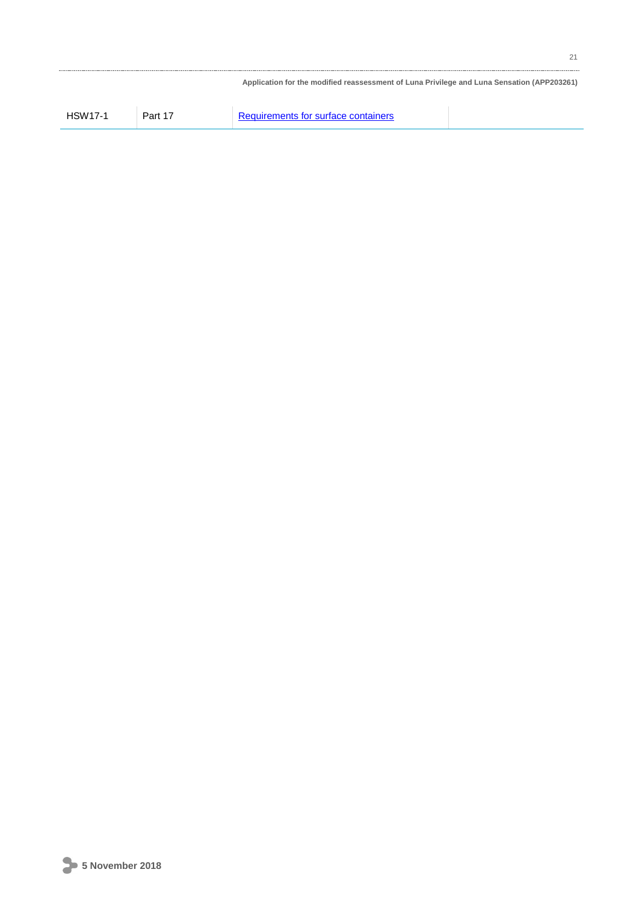|                |         | Application for the modified reassessment of Luna Privilege and Luna Sensation (APP203261) |  |
|----------------|---------|--------------------------------------------------------------------------------------------|--|
| <b>HSW17-1</b> | Part 17 | Requirements for surface containers                                                        |  |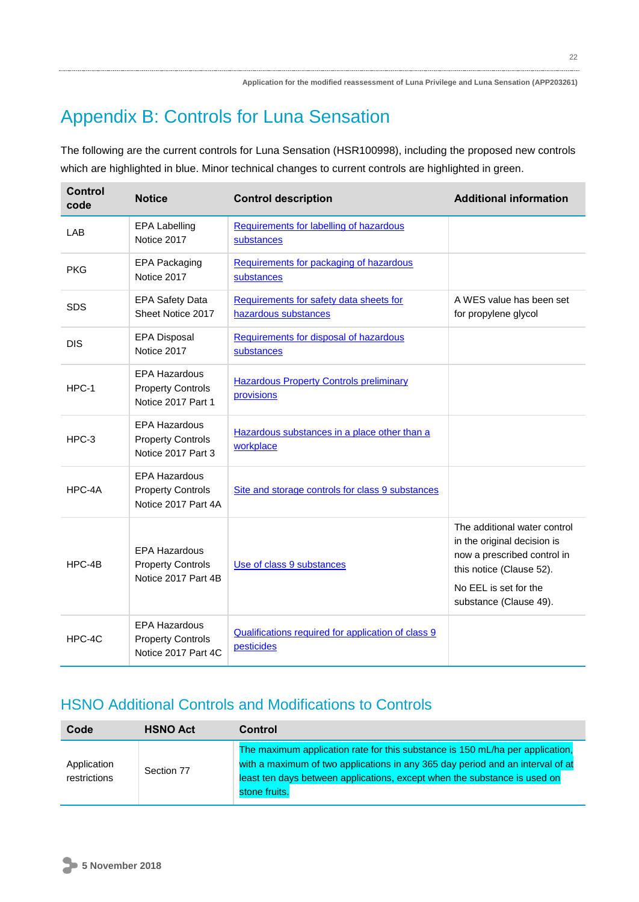# Appendix B: Controls for Luna Sensation

The following are the current controls for Luna Sensation (HSR100998), including the proposed new controls which are highlighted in blue. Minor technical changes to current controls are highlighted in green.

| <b>Control</b><br>code | <b>Notice</b>                                                           | <b>Control description</b>                                       | <b>Additional information</b>                                                                                                                                             |
|------------------------|-------------------------------------------------------------------------|------------------------------------------------------------------|---------------------------------------------------------------------------------------------------------------------------------------------------------------------------|
| LAB                    | <b>EPA Labelling</b><br>Notice 2017                                     | Requirements for labelling of hazardous<br>substances            |                                                                                                                                                                           |
| <b>PKG</b>             | <b>EPA Packaging</b><br>Notice 2017                                     | Requirements for packaging of hazardous<br>substances            |                                                                                                                                                                           |
| <b>SDS</b>             | <b>EPA Safety Data</b><br>Sheet Notice 2017                             | Requirements for safety data sheets for<br>hazardous substances  | A WES value has been set<br>for propylene glycol                                                                                                                          |
| <b>DIS</b>             | <b>EPA Disposal</b><br>Notice 2017                                      | Requirements for disposal of hazardous<br>substances             |                                                                                                                                                                           |
| HPC-1                  | <b>EPA Hazardous</b><br><b>Property Controls</b><br>Notice 2017 Part 1  | <b>Hazardous Property Controls preliminary</b><br>provisions     |                                                                                                                                                                           |
| HPC-3                  | <b>EPA Hazardous</b><br><b>Property Controls</b><br>Notice 2017 Part 3  | Hazardous substances in a place other than a<br>workplace        |                                                                                                                                                                           |
| HPC-4A                 | <b>EPA Hazardous</b><br><b>Property Controls</b><br>Notice 2017 Part 4A | Site and storage controls for class 9 substances                 |                                                                                                                                                                           |
| HPC-4B                 | <b>EPA Hazardous</b><br><b>Property Controls</b><br>Notice 2017 Part 4B | Use of class 9 substances                                        | The additional water control<br>in the original decision is<br>now a prescribed control in<br>this notice (Clause 52).<br>No EEL is set for the<br>substance (Clause 49). |
| HPC-4C                 | <b>EPA Hazardous</b><br><b>Property Controls</b><br>Notice 2017 Part 4C | Qualifications required for application of class 9<br>pesticides |                                                                                                                                                                           |

## HSNO Additional Controls and Modifications to Controls

| Code                        | <b>HSNO Act</b> | <b>Control</b>                                                                                                                                                                                                                                                |  |
|-----------------------------|-----------------|---------------------------------------------------------------------------------------------------------------------------------------------------------------------------------------------------------------------------------------------------------------|--|
| Application<br>restrictions | Section 77      | The maximum application rate for this substance is 150 mL/ha per application.<br>with a maximum of two applications in any 365 day period and an interval of at<br>least ten days between applications, except when the substance is used on<br>stone fruits. |  |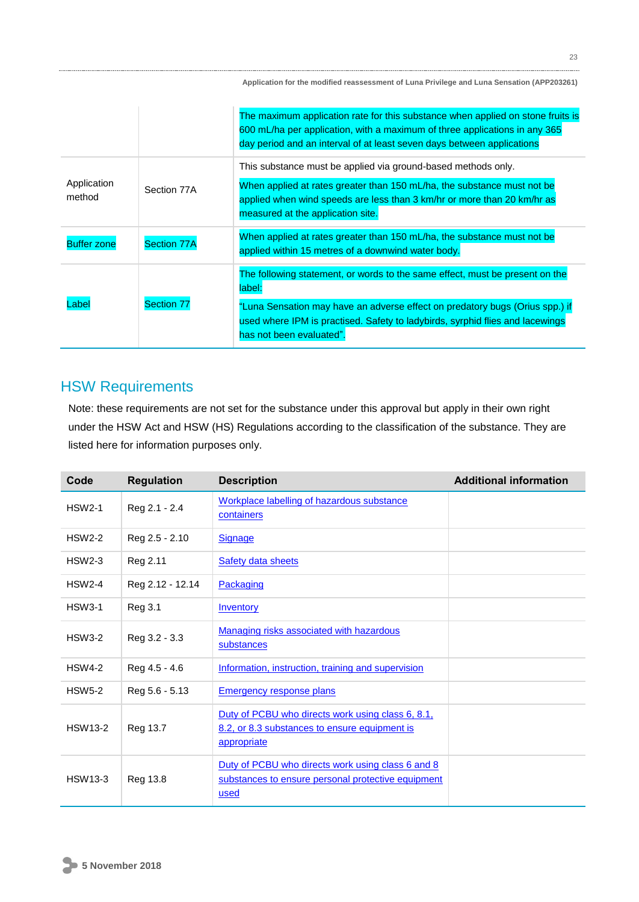|                       |                    | The maximum application rate for this substance when applied on stone fruits is<br>600 mL/ha per application, with a maximum of three applications in any 365<br>day period and an interval of at least seven days between applications |
|-----------------------|--------------------|-----------------------------------------------------------------------------------------------------------------------------------------------------------------------------------------------------------------------------------------|
|                       |                    | This substance must be applied via ground-based methods only.                                                                                                                                                                           |
| Application<br>method | Section 77A        | When applied at rates greater than 150 mL/ha, the substance must not be<br>applied when wind speeds are less than 3 km/hr or more than 20 km/hr as<br>measured at the application site.                                                 |
| <b>Buffer zone</b>    | <b>Section 77A</b> | When applied at rates greater than 150 mL/ha, the substance must not be<br>applied within 15 metres of a downwind water body.                                                                                                           |
|                       |                    | The following statement, or words to the same effect, must be present on the<br>label:                                                                                                                                                  |
| Label                 | <b>Section 77</b>  | "Luna Sensation may have an adverse effect on predatory bugs (Orius spp.) if<br>used where IPM is practised. Safety to ladybirds, syrphid flies and lacewings<br>has not been evaluated".                                               |

## HSW Requirements

Note: these requirements are not set for the substance under this approval but apply in their own right under the HSW Act and HSW (HS) Regulations according to the classification of the substance. They are listed here for information purposes only.

| Code           | <b>Regulation</b> | <b>Description</b>                                                                                                | <b>Additional information</b> |
|----------------|-------------------|-------------------------------------------------------------------------------------------------------------------|-------------------------------|
| <b>HSW2-1</b>  | Reg 2.1 - 2.4     | Workplace labelling of hazardous substance<br>containers                                                          |                               |
| <b>HSW2-2</b>  | Reg 2.5 - 2.10    | <b>Signage</b>                                                                                                    |                               |
| <b>HSW2-3</b>  | Reg 2.11          | <b>Safety data sheets</b>                                                                                         |                               |
| <b>HSW2-4</b>  | Reg 2.12 - 12.14  | Packaging                                                                                                         |                               |
| <b>HSW3-1</b>  | Reg 3.1           | <b>Inventory</b>                                                                                                  |                               |
| <b>HSW3-2</b>  | Reg 3.2 - 3.3     | Managing risks associated with hazardous<br>substances                                                            |                               |
| <b>HSW4-2</b>  | Reg 4.5 - 4.6     | Information, instruction, training and supervision                                                                |                               |
| <b>HSW5-2</b>  | Reg 5.6 - 5.13    | <b>Emergency response plans</b>                                                                                   |                               |
| <b>HSW13-2</b> | Reg 13.7          | Duty of PCBU who directs work using class 6, 8.1,<br>8.2, or 8.3 substances to ensure equipment is<br>appropriate |                               |
| <b>HSW13-3</b> | Reg 13.8          | Duty of PCBU who directs work using class 6 and 8<br>substances to ensure personal protective equipment<br>used   |                               |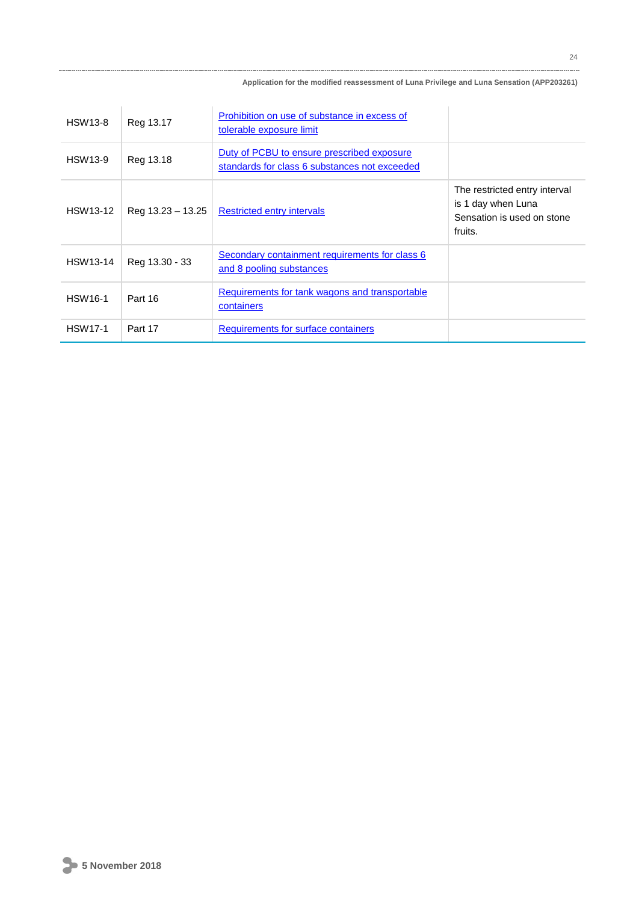| <b>HSW13-8</b>  | Reg 13.17           | Prohibition on use of substance in excess of<br>tolerable exposure limit                    |                                                                                              |
|-----------------|---------------------|---------------------------------------------------------------------------------------------|----------------------------------------------------------------------------------------------|
| HSW13-9         | Reg 13.18           | Duty of PCBU to ensure prescribed exposure<br>standards for class 6 substances not exceeded |                                                                                              |
| <b>HSW13-12</b> | Reg $13.23 - 13.25$ | <b>Restricted entry intervals</b>                                                           | The restricted entry interval<br>is 1 day when Luna<br>Sensation is used on stone<br>fruits. |
| HSW13-14        | Reg 13.30 - 33      | Secondary containment requirements for class 6<br>and 8 pooling substances                  |                                                                                              |
| <b>HSW16-1</b>  | Part 16             | Requirements for tank wagons and transportable<br>containers                                |                                                                                              |
| <b>HSW17-1</b>  | Part 17             | Requirements for surface containers                                                         |                                                                                              |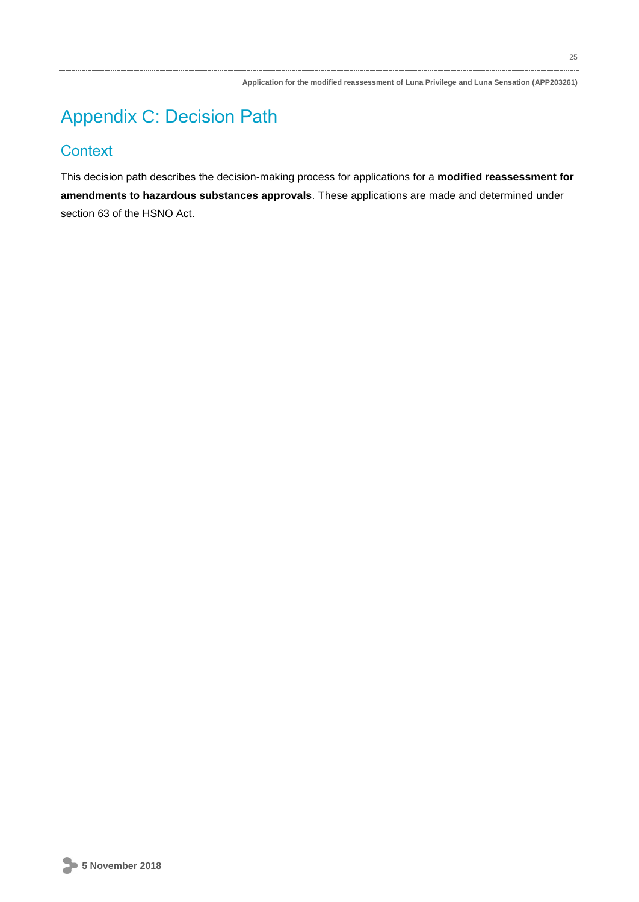# Appendix C: Decision Path

## **Context**

This decision path describes the decision-making process for applications for a **modified reassessment for amendments to hazardous substances approvals**. These applications are made and determined under section 63 of the HSNO Act.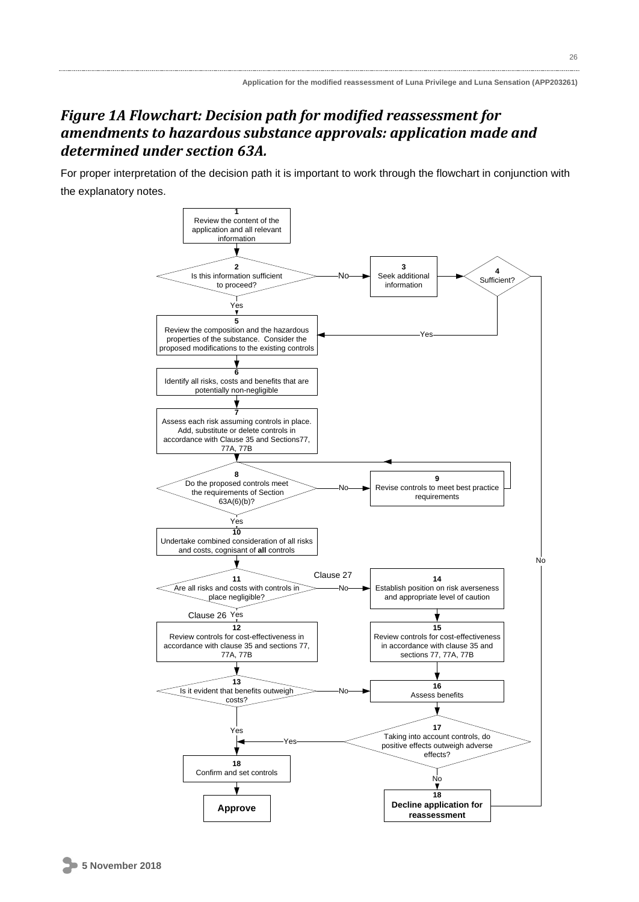## *Figure 1A Flowchart: Decision path for modified reassessment for amendments to hazardous substance approvals: application made and determined under section 63A.*

For proper interpretation of the decision path it is important to work through the flowchart in conjunction with the explanatory notes.

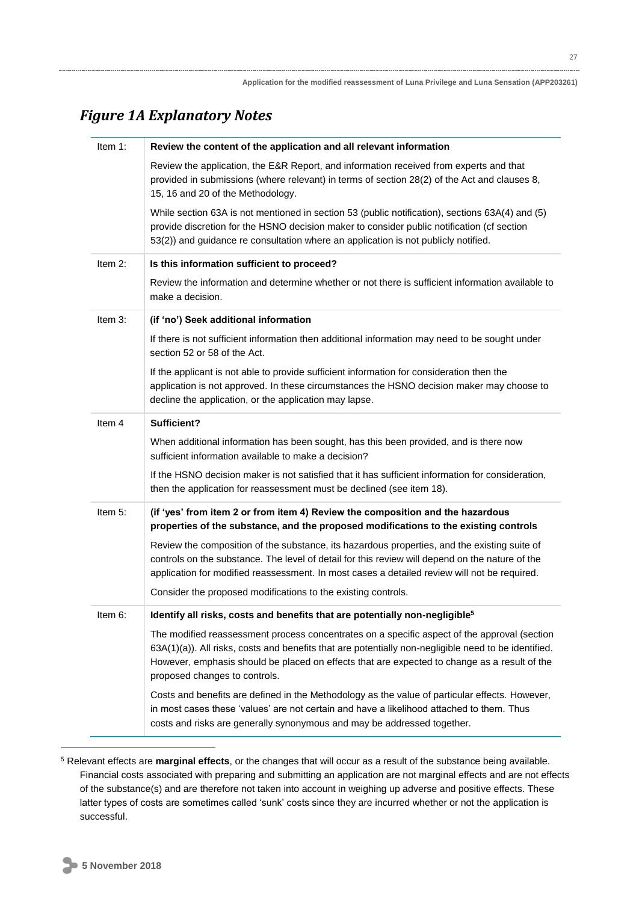## *Figure 1A Explanatory Notes*

| Item $1$ : | Review the content of the application and all relevant information                                                                                                                                                                                                                                                                    |
|------------|---------------------------------------------------------------------------------------------------------------------------------------------------------------------------------------------------------------------------------------------------------------------------------------------------------------------------------------|
|            | Review the application, the E&R Report, and information received from experts and that<br>provided in submissions (where relevant) in terms of section 28(2) of the Act and clauses 8,<br>15, 16 and 20 of the Methodology.                                                                                                           |
|            | While section 63A is not mentioned in section 53 (public notification), sections 63A(4) and (5)<br>provide discretion for the HSNO decision maker to consider public notification (cf section<br>53(2)) and guidance re consultation where an application is not publicly notified.                                                   |
| Item $2$ : | Is this information sufficient to proceed?                                                                                                                                                                                                                                                                                            |
|            | Review the information and determine whether or not there is sufficient information available to<br>make a decision.                                                                                                                                                                                                                  |
| Item 3:    | (if 'no') Seek additional information                                                                                                                                                                                                                                                                                                 |
|            | If there is not sufficient information then additional information may need to be sought under<br>section 52 or 58 of the Act.                                                                                                                                                                                                        |
|            | If the applicant is not able to provide sufficient information for consideration then the<br>application is not approved. In these circumstances the HSNO decision maker may choose to<br>decline the application, or the application may lapse.                                                                                      |
| Item 4     | Sufficient?                                                                                                                                                                                                                                                                                                                           |
|            | When additional information has been sought, has this been provided, and is there now<br>sufficient information available to make a decision?                                                                                                                                                                                         |
|            | If the HSNO decision maker is not satisfied that it has sufficient information for consideration,<br>then the application for reassessment must be declined (see item 18).                                                                                                                                                            |
| Item 5:    | (if 'yes' from item 2 or from item 4) Review the composition and the hazardous<br>properties of the substance, and the proposed modifications to the existing controls                                                                                                                                                                |
|            | Review the composition of the substance, its hazardous properties, and the existing suite of<br>controls on the substance. The level of detail for this review will depend on the nature of the<br>application for modified reassessment. In most cases a detailed review will not be required.                                       |
|            | Consider the proposed modifications to the existing controls.                                                                                                                                                                                                                                                                         |
| Item 6:    | Identify all risks, costs and benefits that are potentially non-negligible <sup>5</sup>                                                                                                                                                                                                                                               |
|            | The modified reassessment process concentrates on a specific aspect of the approval (section<br>63A(1)(a)). All risks, costs and benefits that are potentially non-negligible need to be identified.<br>However, emphasis should be placed on effects that are expected to change as a result of the<br>proposed changes to controls. |
|            | Costs and benefits are defined in the Methodology as the value of particular effects. However,<br>in most cases these 'values' are not certain and have a likelihood attached to them. Thus<br>costs and risks are generally synonymous and may be addressed together.                                                                |

<u>.</u>

<sup>5</sup> Relevant effects are **marginal effects**, or the changes that will occur as a result of the substance being available. Financial costs associated with preparing and submitting an application are not marginal effects and are not effects of the substance(s) and are therefore not taken into account in weighing up adverse and positive effects. These latter types of costs are sometimes called 'sunk' costs since they are incurred whether or not the application is successful.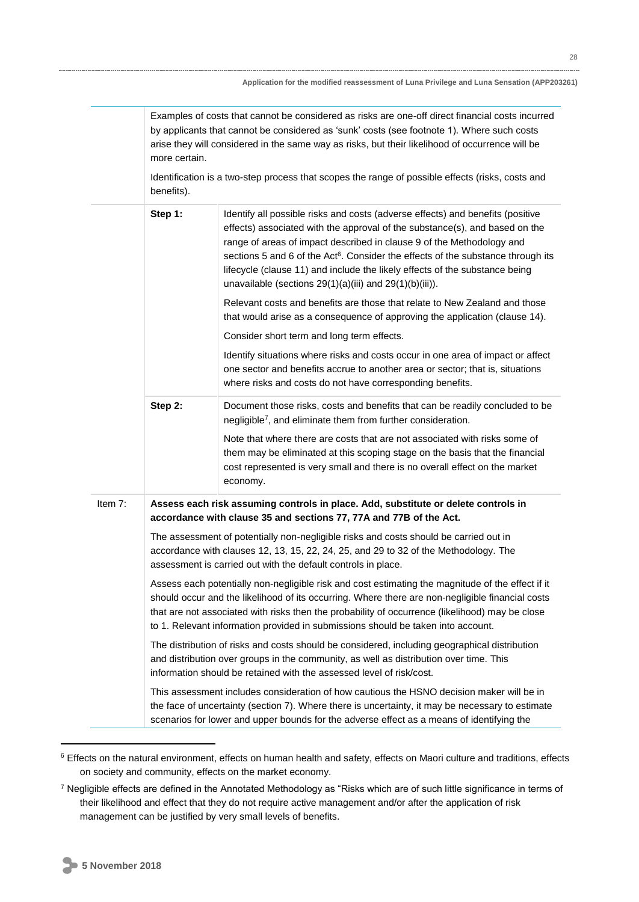|         | Examples of costs that cannot be considered as risks are one-off direct financial costs incurred<br>by applicants that cannot be considered as 'sunk' costs (see footnote 1). Where such costs<br>arise they will considered in the same way as risks, but their likelihood of occurrence will be<br>more certain.<br>Identification is a two-step process that scopes the range of possible effects (risks, costs and<br>benefits). |                                                                                                                                                                                                                                                                                                                                                                                                                                                                                       |
|---------|--------------------------------------------------------------------------------------------------------------------------------------------------------------------------------------------------------------------------------------------------------------------------------------------------------------------------------------------------------------------------------------------------------------------------------------|---------------------------------------------------------------------------------------------------------------------------------------------------------------------------------------------------------------------------------------------------------------------------------------------------------------------------------------------------------------------------------------------------------------------------------------------------------------------------------------|
|         | Step 1:                                                                                                                                                                                                                                                                                                                                                                                                                              | Identify all possible risks and costs (adverse effects) and benefits (positive<br>effects) associated with the approval of the substance(s), and based on the<br>range of areas of impact described in clause 9 of the Methodology and<br>sections 5 and 6 of the Act <sup>6</sup> . Consider the effects of the substance through its<br>lifecycle (clause 11) and include the likely effects of the substance being<br>unavailable (sections $29(1)(a)(iii)$ and $29(1)(b)(iii)$ ). |
|         |                                                                                                                                                                                                                                                                                                                                                                                                                                      | Relevant costs and benefits are those that relate to New Zealand and those<br>that would arise as a consequence of approving the application (clause 14).                                                                                                                                                                                                                                                                                                                             |
|         |                                                                                                                                                                                                                                                                                                                                                                                                                                      | Consider short term and long term effects.                                                                                                                                                                                                                                                                                                                                                                                                                                            |
|         |                                                                                                                                                                                                                                                                                                                                                                                                                                      | Identify situations where risks and costs occur in one area of impact or affect<br>one sector and benefits accrue to another area or sector; that is, situations<br>where risks and costs do not have corresponding benefits.                                                                                                                                                                                                                                                         |
|         | Step 2:                                                                                                                                                                                                                                                                                                                                                                                                                              | Document those risks, costs and benefits that can be readily concluded to be<br>negligible <sup>7</sup> , and eliminate them from further consideration.                                                                                                                                                                                                                                                                                                                              |
|         |                                                                                                                                                                                                                                                                                                                                                                                                                                      | Note that where there are costs that are not associated with risks some of<br>them may be eliminated at this scoping stage on the basis that the financial<br>cost represented is very small and there is no overall effect on the market<br>economy.                                                                                                                                                                                                                                 |
| Item 7: |                                                                                                                                                                                                                                                                                                                                                                                                                                      | Assess each risk assuming controls in place. Add, substitute or delete controls in<br>accordance with clause 35 and sections 77, 77A and 77B of the Act.                                                                                                                                                                                                                                                                                                                              |
|         |                                                                                                                                                                                                                                                                                                                                                                                                                                      | The assessment of potentially non-negligible risks and costs should be carried out in<br>accordance with clauses 12, 13, 15, 22, 24, 25, and 29 to 32 of the Methodology. The<br>assessment is carried out with the default controls in place.                                                                                                                                                                                                                                        |
|         |                                                                                                                                                                                                                                                                                                                                                                                                                                      | Assess each potentially non-negligible risk and cost estimating the magnitude of the effect if it<br>should occur and the likelihood of its occurring. Where there are non-negligible financial costs<br>that are not associated with risks then the probability of occurrence (likelihood) may be close<br>to 1. Relevant information provided in submissions should be taken into account.                                                                                          |
|         |                                                                                                                                                                                                                                                                                                                                                                                                                                      | The distribution of risks and costs should be considered, including geographical distribution<br>and distribution over groups in the community, as well as distribution over time. This<br>information should be retained with the assessed level of risk/cost.                                                                                                                                                                                                                       |
|         |                                                                                                                                                                                                                                                                                                                                                                                                                                      | This assessment includes consideration of how cautious the HSNO decision maker will be in<br>the face of uncertainty (section 7). Where there is uncertainty, it may be necessary to estimate<br>scenarios for lower and upper bounds for the adverse effect as a means of identifying the                                                                                                                                                                                            |

<sup>&</sup>lt;sup>6</sup> Effects on the natural environment, effects on human health and safety, effects on Maori culture and traditions, effects on society and community, effects on the market economy.

<u>.</u>

<sup>7</sup> Negligible effects are defined in the Annotated Methodology as "Risks which are of such little significance in terms of their likelihood and effect that they do not require active management and/or after the application of risk management can be justified by very small levels of benefits.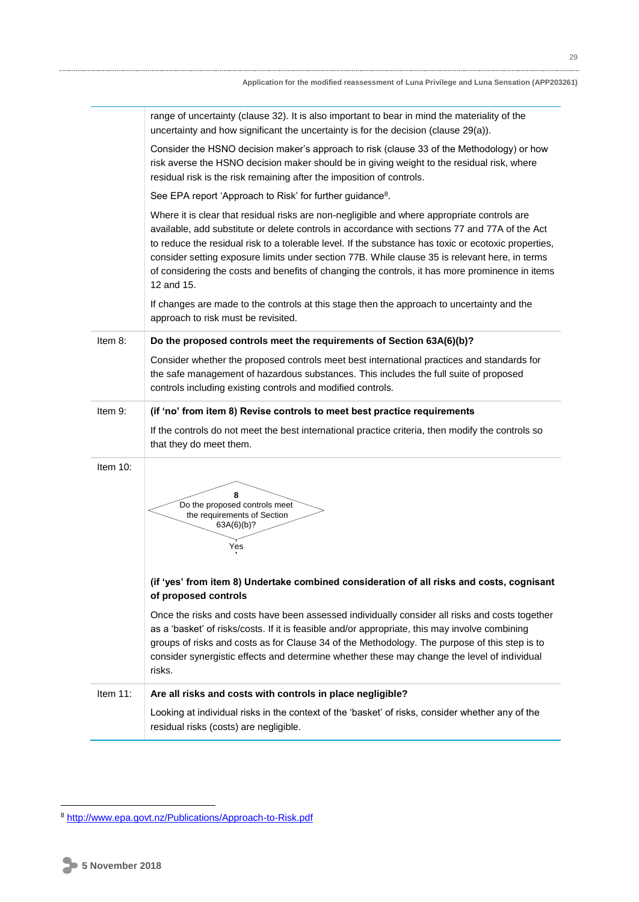|             | range of uncertainty (clause 32). It is also important to bear in mind the materiality of the<br>uncertainty and how significant the uncertainty is for the decision (clause 29(a)).                                                                                                                                                                                                                                                                                                                                     |
|-------------|--------------------------------------------------------------------------------------------------------------------------------------------------------------------------------------------------------------------------------------------------------------------------------------------------------------------------------------------------------------------------------------------------------------------------------------------------------------------------------------------------------------------------|
|             | Consider the HSNO decision maker's approach to risk (clause 33 of the Methodology) or how<br>risk averse the HSNO decision maker should be in giving weight to the residual risk, where<br>residual risk is the risk remaining after the imposition of controls.                                                                                                                                                                                                                                                         |
|             | See EPA report 'Approach to Risk' for further guidance <sup>8</sup> .                                                                                                                                                                                                                                                                                                                                                                                                                                                    |
|             | Where it is clear that residual risks are non-negligible and where appropriate controls are<br>available, add substitute or delete controls in accordance with sections 77 and 77A of the Act<br>to reduce the residual risk to a tolerable level. If the substance has toxic or ecotoxic properties,<br>consider setting exposure limits under section 77B. While clause 35 is relevant here, in terms<br>of considering the costs and benefits of changing the controls, it has more prominence in items<br>12 and 15. |
|             | If changes are made to the controls at this stage then the approach to uncertainty and the<br>approach to risk must be revisited.                                                                                                                                                                                                                                                                                                                                                                                        |
| Item 8:     | Do the proposed controls meet the requirements of Section 63A(6)(b)?                                                                                                                                                                                                                                                                                                                                                                                                                                                     |
|             | Consider whether the proposed controls meet best international practices and standards for<br>the safe management of hazardous substances. This includes the full suite of proposed<br>controls including existing controls and modified controls.                                                                                                                                                                                                                                                                       |
| Item 9:     | (if 'no' from item 8) Revise controls to meet best practice requirements                                                                                                                                                                                                                                                                                                                                                                                                                                                 |
|             | If the controls do not meet the best international practice criteria, then modify the controls so<br>that they do meet them.                                                                                                                                                                                                                                                                                                                                                                                             |
| Item $10$ : | 8<br>Do the proposed controls meet<br>the requirements of Section<br>63A(6)(b)?<br>Yes                                                                                                                                                                                                                                                                                                                                                                                                                                   |
|             | (if 'yes' from item 8) Undertake combined consideration of all risks and costs, cognisant<br>of proposed controls                                                                                                                                                                                                                                                                                                                                                                                                        |
|             | Once the risks and costs have been assessed individually consider all risks and costs together<br>as a 'basket' of risks/costs. If it is feasible and/or appropriate, this may involve combining<br>groups of risks and costs as for Clause 34 of the Methodology. The purpose of this step is to<br>consider synergistic effects and determine whether these may change the level of individual<br>risks.                                                                                                               |
| Item 11:    | Are all risks and costs with controls in place negligible?                                                                                                                                                                                                                                                                                                                                                                                                                                                               |
|             | Looking at individual risks in the context of the 'basket' of risks, consider whether any of the<br>residual risks (costs) are negligible.                                                                                                                                                                                                                                                                                                                                                                               |

<sup>8</sup> <http://www.epa.govt.nz/Publications/Approach-to-Risk.pdf>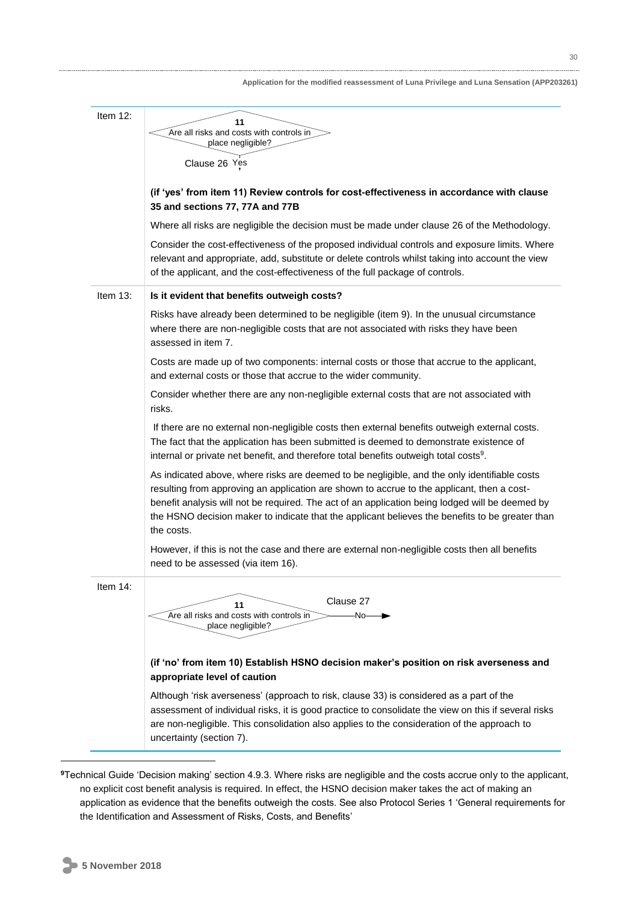| Item $12$ : | 11                                                                                                                                                                                                                                                                                                                                                                                                             |
|-------------|----------------------------------------------------------------------------------------------------------------------------------------------------------------------------------------------------------------------------------------------------------------------------------------------------------------------------------------------------------------------------------------------------------------|
|             | Are all risks and costs with controls in                                                                                                                                                                                                                                                                                                                                                                       |
|             | place negligible?                                                                                                                                                                                                                                                                                                                                                                                              |
|             | Clause 26 Yes                                                                                                                                                                                                                                                                                                                                                                                                  |
|             | (if 'yes' from item 11) Review controls for cost-effectiveness in accordance with clause<br>35 and sections 77, 77A and 77B                                                                                                                                                                                                                                                                                    |
|             | Where all risks are negligible the decision must be made under clause 26 of the Methodology.                                                                                                                                                                                                                                                                                                                   |
|             | Consider the cost-effectiveness of the proposed individual controls and exposure limits. Where<br>relevant and appropriate, add, substitute or delete controls whilst taking into account the view<br>of the applicant, and the cost-effectiveness of the full package of controls.                                                                                                                            |
| Item $13$ : | Is it evident that benefits outweigh costs?                                                                                                                                                                                                                                                                                                                                                                    |
|             | Risks have already been determined to be negligible (item 9). In the unusual circumstance<br>where there are non-negligible costs that are not associated with risks they have been<br>assessed in item 7.                                                                                                                                                                                                     |
|             | Costs are made up of two components: internal costs or those that accrue to the applicant,<br>and external costs or those that accrue to the wider community.                                                                                                                                                                                                                                                  |
|             | Consider whether there are any non-negligible external costs that are not associated with<br>risks.                                                                                                                                                                                                                                                                                                            |
|             | If there are no external non-negligible costs then external benefits outweigh external costs.<br>The fact that the application has been submitted is deemed to demonstrate existence of<br>internal or private net benefit, and therefore total benefits outweigh total costs <sup>9</sup> .                                                                                                                   |
|             | As indicated above, where risks are deemed to be negligible, and the only identifiable costs<br>resulting from approving an application are shown to accrue to the applicant, then a cost-<br>benefit analysis will not be required. The act of an application being lodged will be deemed by<br>the HSNO decision maker to indicate that the applicant believes the benefits to be greater than<br>the costs. |
|             | However, if this is not the case and there are external non-negligible costs then all benefits<br>need to be assessed (via item 16).                                                                                                                                                                                                                                                                           |
| Item 14:    | Clause 27<br>11<br>Are all risks and costs with controls in<br>-No-<br>place negligible?                                                                                                                                                                                                                                                                                                                       |
|             | (if 'no' from item 10) Establish HSNO decision maker's position on risk averseness and<br>appropriate level of caution                                                                                                                                                                                                                                                                                         |
|             | Although 'risk averseness' (approach to risk, clause 33) is considered as a part of the<br>assessment of individual risks, it is good practice to consolidate the view on this if several risks<br>are non-negligible. This consolidation also applies to the consideration of the approach to<br>uncertainty (section 7).                                                                                     |

**<sup>9</sup>**Technical Guide 'Decision making' section 4.9.3. Where risks are negligible and the costs accrue only to the applicant, no explicit cost benefit analysis is required. In effect, the HSNO decision maker takes the act of making an application as evidence that the benefits outweigh the costs. See also Protocol Series 1 'General requirements for the Identification and Assessment of Risks, Costs, and Benefits'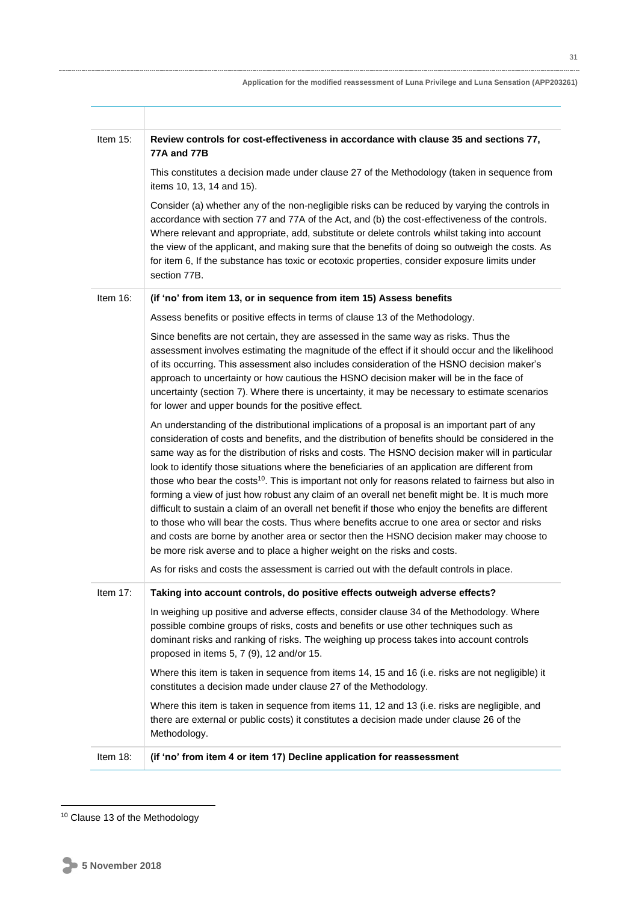| Application for the modified reassessment of Luna Privilege and Luna Sensation (APP203261) |  |
|--------------------------------------------------------------------------------------------|--|
|                                                                                            |  |

| Item $15$ : | Review controls for cost-effectiveness in accordance with clause 35 and sections 77,                                                                                                                                                                                                                                                                                                                                                                                                                                                                                                                                                                                                                                                                                                                                                                                                                                                                                                                          |
|-------------|---------------------------------------------------------------------------------------------------------------------------------------------------------------------------------------------------------------------------------------------------------------------------------------------------------------------------------------------------------------------------------------------------------------------------------------------------------------------------------------------------------------------------------------------------------------------------------------------------------------------------------------------------------------------------------------------------------------------------------------------------------------------------------------------------------------------------------------------------------------------------------------------------------------------------------------------------------------------------------------------------------------|
|             | 77A and 77B                                                                                                                                                                                                                                                                                                                                                                                                                                                                                                                                                                                                                                                                                                                                                                                                                                                                                                                                                                                                   |
|             | This constitutes a decision made under clause 27 of the Methodology (taken in sequence from<br>items 10, 13, 14 and 15).                                                                                                                                                                                                                                                                                                                                                                                                                                                                                                                                                                                                                                                                                                                                                                                                                                                                                      |
|             | Consider (a) whether any of the non-negligible risks can be reduced by varying the controls in<br>accordance with section 77 and 77A of the Act, and (b) the cost-effectiveness of the controls.<br>Where relevant and appropriate, add, substitute or delete controls whilst taking into account<br>the view of the applicant, and making sure that the benefits of doing so outweigh the costs. As<br>for item 6, If the substance has toxic or ecotoxic properties, consider exposure limits under<br>section 77B.                                                                                                                                                                                                                                                                                                                                                                                                                                                                                         |
| Item $16$ : | (if 'no' from item 13, or in sequence from item 15) Assess benefits                                                                                                                                                                                                                                                                                                                                                                                                                                                                                                                                                                                                                                                                                                                                                                                                                                                                                                                                           |
|             | Assess benefits or positive effects in terms of clause 13 of the Methodology.                                                                                                                                                                                                                                                                                                                                                                                                                                                                                                                                                                                                                                                                                                                                                                                                                                                                                                                                 |
|             | Since benefits are not certain, they are assessed in the same way as risks. Thus the<br>assessment involves estimating the magnitude of the effect if it should occur and the likelihood<br>of its occurring. This assessment also includes consideration of the HSNO decision maker's<br>approach to uncertainty or how cautious the HSNO decision maker will be in the face of<br>uncertainty (section 7). Where there is uncertainty, it may be necessary to estimate scenarios<br>for lower and upper bounds for the positive effect.                                                                                                                                                                                                                                                                                                                                                                                                                                                                     |
|             | An understanding of the distributional implications of a proposal is an important part of any<br>consideration of costs and benefits, and the distribution of benefits should be considered in the<br>same way as for the distribution of risks and costs. The HSNO decision maker will in particular<br>look to identify those situations where the beneficiaries of an application are different from<br>those who bear the costs <sup>10</sup> . This is important not only for reasons related to fairness but also in<br>forming a view of just how robust any claim of an overall net benefit might be. It is much more<br>difficult to sustain a claim of an overall net benefit if those who enjoy the benefits are different<br>to those who will bear the costs. Thus where benefits accrue to one area or sector and risks<br>and costs are borne by another area or sector then the HSNO decision maker may choose to<br>be more risk averse and to place a higher weight on the risks and costs. |
|             | As for risks and costs the assessment is carried out with the default controls in place.                                                                                                                                                                                                                                                                                                                                                                                                                                                                                                                                                                                                                                                                                                                                                                                                                                                                                                                      |
| Item 17:    | Taking into account controls, do positive effects outweigh adverse effects?<br>In weighing up positive and adverse effects, consider clause 34 of the Methodology. Where<br>possible combine groups of risks, costs and benefits or use other techniques such as<br>dominant risks and ranking of risks. The weighing up process takes into account controls<br>proposed in items 5, 7 (9), 12 and/or 15.                                                                                                                                                                                                                                                                                                                                                                                                                                                                                                                                                                                                     |
|             | Where this item is taken in sequence from items 14, 15 and 16 (i.e. risks are not negligible) it<br>constitutes a decision made under clause 27 of the Methodology.                                                                                                                                                                                                                                                                                                                                                                                                                                                                                                                                                                                                                                                                                                                                                                                                                                           |
|             | Where this item is taken in sequence from items 11, 12 and 13 (i.e. risks are negligible, and<br>there are external or public costs) it constitutes a decision made under clause 26 of the<br>Methodology.                                                                                                                                                                                                                                                                                                                                                                                                                                                                                                                                                                                                                                                                                                                                                                                                    |
| Item 18:    | (if 'no' from item 4 or item 17) Decline application for reassessment                                                                                                                                                                                                                                                                                                                                                                                                                                                                                                                                                                                                                                                                                                                                                                                                                                                                                                                                         |

<sup>&</sup>lt;sup>10</sup> Clause 13 of the Methodology